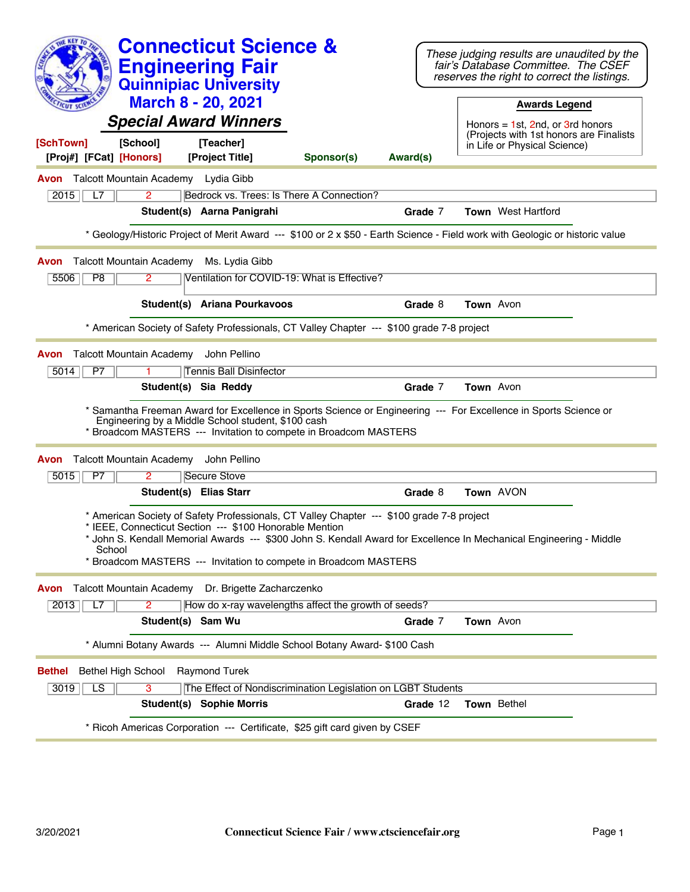| <b>Connecticut Science &amp;</b><br><b>Engineering Fair</b><br><b>Quinnipiac University</b><br><b>March 8 - 20, 2021</b>                                                                                                                                                                                                                                | These judging results are unaudited by the<br>fair's Database Committee. The CSEF<br>reserves the right to correct the listings.<br><b>Awards Legend</b> |
|---------------------------------------------------------------------------------------------------------------------------------------------------------------------------------------------------------------------------------------------------------------------------------------------------------------------------------------------------------|----------------------------------------------------------------------------------------------------------------------------------------------------------|
| <b>Special Award Winners</b>                                                                                                                                                                                                                                                                                                                            | Honors = $1st$ , 2nd, or 3rd honors<br>(Projects with 1st honors are Finalists                                                                           |
| [School]<br>[Teacher]<br>[SchTown]<br>[Proj#] [FCat] [Honors]<br>[Project Title]<br>Sponsor(s)<br>Award(s)                                                                                                                                                                                                                                              | in Life or Physical Science)                                                                                                                             |
| <b>Avon</b> Talcott Mountain Academy Lydia Gibb                                                                                                                                                                                                                                                                                                         |                                                                                                                                                          |
| $\overline{2}$<br>Bedrock vs. Trees: Is There A Connection?<br>L7<br>2015                                                                                                                                                                                                                                                                               |                                                                                                                                                          |
| Student(s) Aarna Panigrahi                                                                                                                                                                                                                                                                                                                              | <b>Town</b> West Hartford<br>Grade 7                                                                                                                     |
| * Geology/Historic Project of Merit Award --- \$100 or 2 x \$50 - Earth Science - Field work with Geologic or historic value                                                                                                                                                                                                                            |                                                                                                                                                          |
|                                                                                                                                                                                                                                                                                                                                                         |                                                                                                                                                          |
| <b>Talcott Mountain Academy</b><br>Ms. Lydia Gibb<br>Avon<br>$\overline{2}$<br>Ventilation for COVID-19: What is Effective?<br>5506<br>P <sub>8</sub>                                                                                                                                                                                                   |                                                                                                                                                          |
|                                                                                                                                                                                                                                                                                                                                                         |                                                                                                                                                          |
| Student(s) Ariana Pourkavoos                                                                                                                                                                                                                                                                                                                            | Grade 8<br>Town Avon                                                                                                                                     |
| * American Society of Safety Professionals, CT Valley Chapter --- \$100 grade 7-8 project                                                                                                                                                                                                                                                               |                                                                                                                                                          |
| Talcott Mountain Academy<br>John Pellino<br>Avon                                                                                                                                                                                                                                                                                                        |                                                                                                                                                          |
| <b>Tennis Ball Disinfector</b><br>P7<br>5014                                                                                                                                                                                                                                                                                                            |                                                                                                                                                          |
| Student(s) Sia Reddy                                                                                                                                                                                                                                                                                                                                    | Grade 7<br>Town Avon                                                                                                                                     |
| * Samantha Freeman Award for Excellence in Sports Science or Engineering --- For Excellence in Sports Science or<br>Engineering by a Middle School student, \$100 cash<br>* Broadcom MASTERS --- Invitation to compete in Broadcom MASTERS                                                                                                              |                                                                                                                                                          |
| <b>Talcott Mountain Academy</b><br>John Pellino<br>Avon                                                                                                                                                                                                                                                                                                 |                                                                                                                                                          |
| 5015<br>P7<br>2<br>Secure Stove                                                                                                                                                                                                                                                                                                                         |                                                                                                                                                          |
| Student(s) Elias Starr                                                                                                                                                                                                                                                                                                                                  | Grade 8<br>Town AVON                                                                                                                                     |
| * American Society of Safety Professionals, CT Valley Chapter --- \$100 grade 7-8 project<br>* IEEE, Connecticut Section --- \$100 Honorable Mention<br>* John S. Kendall Memorial Awards --- \$300 John S. Kendall Award for Excellence In Mechanical Engineering - Middle<br>School<br>Broadcom MASTERS --- Invitation to compete in Broadcom MASTERS |                                                                                                                                                          |
| Talcott Mountain Academy Dr. Brigette Zacharczenko<br>Avon                                                                                                                                                                                                                                                                                              |                                                                                                                                                          |
| How do x-ray wavelengths affect the growth of seeds?<br>2013<br>L7<br>2                                                                                                                                                                                                                                                                                 |                                                                                                                                                          |
| Student(s) Sam Wu                                                                                                                                                                                                                                                                                                                                       | Town Avon<br>Grade 7                                                                                                                                     |
| * Alumni Botany Awards --- Alumni Middle School Botany Award- \$100 Cash                                                                                                                                                                                                                                                                                |                                                                                                                                                          |
| <b>Raymond Turek</b><br><b>Bethel High School</b><br>Bethel                                                                                                                                                                                                                                                                                             |                                                                                                                                                          |
| $\overline{LS}$<br>$\overline{3}$<br>The Effect of Nondiscrimination Legislation on LGBT Students<br>3019                                                                                                                                                                                                                                               |                                                                                                                                                          |
| <b>Student(s) Sophie Morris</b>                                                                                                                                                                                                                                                                                                                         | Town Bethel<br>Grade 12                                                                                                                                  |
| * Ricoh Americas Corporation --- Certificate, \$25 gift card given by CSEF                                                                                                                                                                                                                                                                              |                                                                                                                                                          |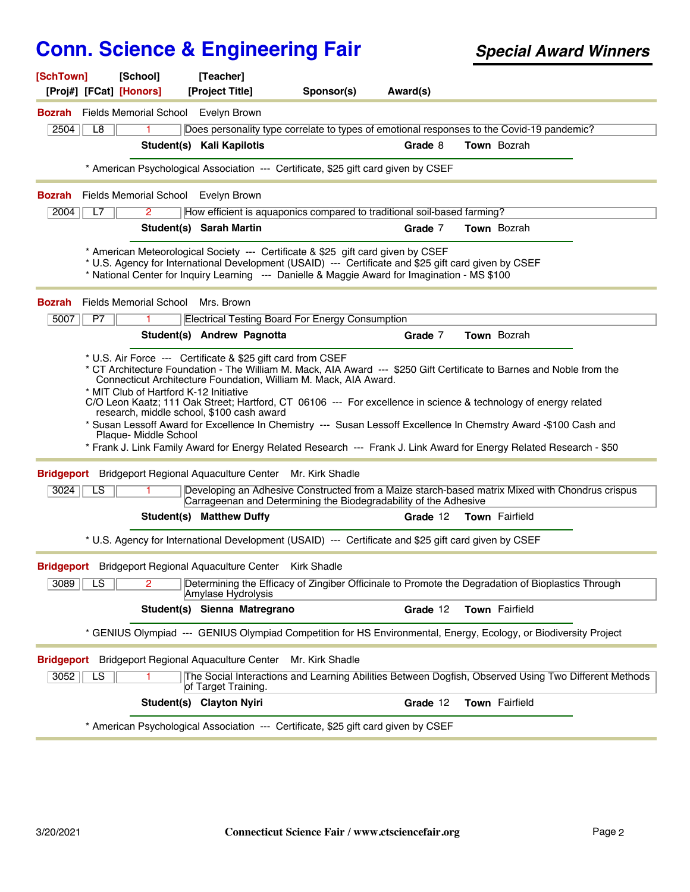| [SchTown]         |                        | [School]<br>[Proj#] [FCat] [Honors]                             | [Teacher]<br>[Project Title]                                                     | Sponsor(s)      | Award(s)                                                                                                                                                                                                                                                                                                                                                   |                    |  |
|-------------------|------------------------|-----------------------------------------------------------------|----------------------------------------------------------------------------------|-----------------|------------------------------------------------------------------------------------------------------------------------------------------------------------------------------------------------------------------------------------------------------------------------------------------------------------------------------------------------------------|--------------------|--|
|                   |                        | <b>Bozrah</b> Fields Memorial School Evelyn Brown               |                                                                                  |                 |                                                                                                                                                                                                                                                                                                                                                            |                    |  |
| 2504              | L8                     | 1                                                               |                                                                                  |                 | Does personality type correlate to types of emotional responses to the Covid-19 pandemic?                                                                                                                                                                                                                                                                  |                    |  |
|                   |                        |                                                                 | Student(s) Kali Kapilotis                                                        |                 | Grade 8                                                                                                                                                                                                                                                                                                                                                    | Town Bozrah        |  |
|                   |                        |                                                                 |                                                                                  |                 |                                                                                                                                                                                                                                                                                                                                                            |                    |  |
|                   |                        |                                                                 |                                                                                  |                 | * American Psychological Association --- Certificate, \$25 gift card given by CSEF                                                                                                                                                                                                                                                                         |                    |  |
|                   |                        | <b>Bozrah</b> Fields Memorial School Evelyn Brown               |                                                                                  |                 |                                                                                                                                                                                                                                                                                                                                                            |                    |  |
| 2004              | L7                     | 2                                                               |                                                                                  |                 | How efficient is aquaponics compared to traditional soil-based farming?                                                                                                                                                                                                                                                                                    |                    |  |
|                   |                        |                                                                 | Student(s) Sarah Martin                                                          |                 | Grade 7                                                                                                                                                                                                                                                                                                                                                    | <b>Town</b> Bozrah |  |
|                   |                        |                                                                 | * American Meteorological Society --- Certificate & \$25 gift card given by CSEF |                 | * U.S. Agency for International Development (USAID) --- Certificate and \$25 gift card given by CSEF<br>* National Center for Inquiry Learning --- Danielle & Maggie Award for Imagination - MS \$100                                                                                                                                                      |                    |  |
| <b>Bozrah</b>     |                        | Fields Memorial School Mrs. Brown                               |                                                                                  |                 |                                                                                                                                                                                                                                                                                                                                                            |                    |  |
| 5007              | P7                     |                                                                 | <b>Electrical Testing Board For Energy Consumption</b>                           |                 |                                                                                                                                                                                                                                                                                                                                                            |                    |  |
|                   |                        |                                                                 | Student(s) Andrew Pagnotta                                                       |                 | Grade 7                                                                                                                                                                                                                                                                                                                                                    | Town Bozrah        |  |
|                   |                        | * MIT Club of Hartford K-12 Initiative<br>Plaque- Middle School | research, middle school, \$100 cash award                                        |                 | C/O Leon Kaatz; 111 Oak Street; Hartford, CT 06106 --- For excellence in science & technology of energy related<br>* Susan Lessoff Award for Excellence In Chemistry --- Susan Lessoff Excellence In Chemstry Award -\$100 Cash and<br>* Frank J. Link Family Award for Energy Related Research --- Frank J. Link Award for Energy Related Research - \$50 |                    |  |
| <b>Bridgeport</b> |                        |                                                                 | Bridgeport Regional Aquaculture Center Mr. Kirk Shadle                           |                 |                                                                                                                                                                                                                                                                                                                                                            |                    |  |
| 3024              | LS                     | 1.                                                              |                                                                                  |                 | Developing an Adhesive Constructed from a Maize starch-based matrix Mixed with Chondrus crispus<br>Carrageenan and Determining the Biodegradability of the Adhesive                                                                                                                                                                                        |                    |  |
|                   |                        |                                                                 | <b>Student(s) Matthew Duffy</b>                                                  |                 | Grade 12                                                                                                                                                                                                                                                                                                                                                   | Town Fairfield     |  |
|                   |                        |                                                                 |                                                                                  |                 | * U.S. Agency for International Development (USAID) --- Certificate and \$25 gift card given by CSEF                                                                                                                                                                                                                                                       |                    |  |
|                   |                        |                                                                 | Bridgeport Bridgeport Regional Aquaculture Center Kirk Shadle                    |                 |                                                                                                                                                                                                                                                                                                                                                            |                    |  |
| 3089              | $\overline{\text{LS}}$ | 2                                                               | Amylase Hydrolysis                                                               |                 | Determining the Efficacy of Zingiber Officinale to Promote the Degradation of Bioplastics Through                                                                                                                                                                                                                                                          |                    |  |
|                   |                        |                                                                 | Student(s) Sienna Matregrano                                                     |                 | Grade 12                                                                                                                                                                                                                                                                                                                                                   | Town Fairfield     |  |
|                   |                        |                                                                 |                                                                                  |                 | * GENIUS Olympiad --- GENIUS Olympiad Competition for HS Environmental, Energy, Ecology, or Biodiversity Project                                                                                                                                                                                                                                           |                    |  |
| <b>Bridgeport</b> |                        |                                                                 | <b>Bridgeport Regional Aquaculture Center</b>                                    | Mr. Kirk Shadle |                                                                                                                                                                                                                                                                                                                                                            |                    |  |
| 3052              | LS                     |                                                                 | of Target Training.                                                              |                 | The Social Interactions and Learning Abilities Between Dogfish, Observed Using Two Different Methods                                                                                                                                                                                                                                                       |                    |  |
|                   |                        |                                                                 | Student(s) Clayton Nyiri                                                         |                 | Grade 12                                                                                                                                                                                                                                                                                                                                                   | Town Fairfield     |  |
|                   |                        |                                                                 |                                                                                  |                 | * American Psychological Association --- Certificate, \$25 gift card given by CSEF                                                                                                                                                                                                                                                                         |                    |  |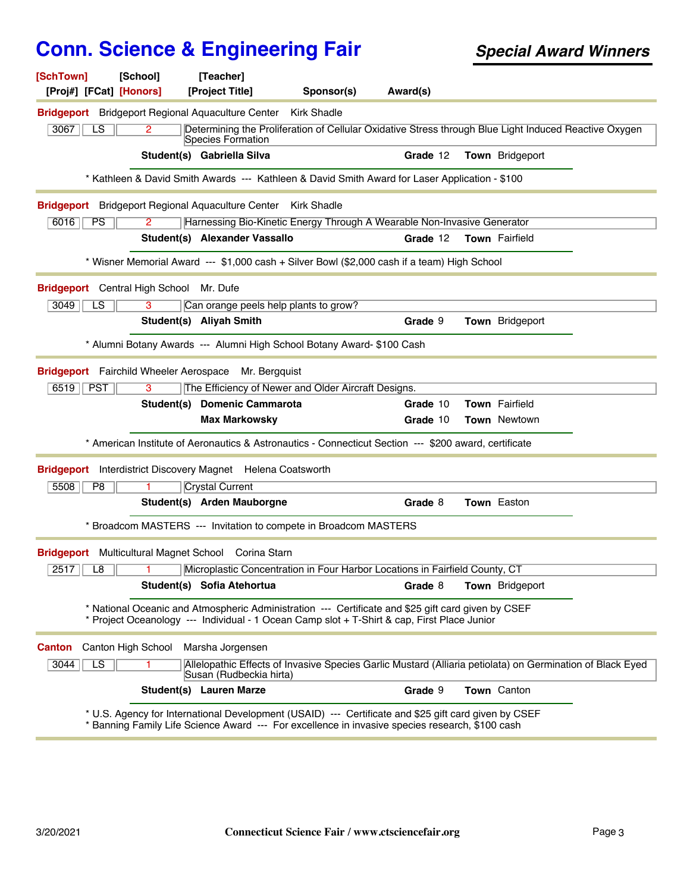| [SchTown]<br>[Proj#] [FCat] [Honors] | [School]                                | [Teacher]<br>[Project Title]                                  | Sponsor(s)                                                                                                                                                                                              | Award(s) |                                                                                                           |
|--------------------------------------|-----------------------------------------|---------------------------------------------------------------|---------------------------------------------------------------------------------------------------------------------------------------------------------------------------------------------------------|----------|-----------------------------------------------------------------------------------------------------------|
|                                      |                                         | <b>Bridgeport</b> Bridgeport Regional Aquaculture Center      | <b>Kirk Shadle</b>                                                                                                                                                                                      |          |                                                                                                           |
| 3067<br>$\overline{LS}$              | 2                                       | Species Formation                                             |                                                                                                                                                                                                         |          | Determining the Proliferation of Cellular Oxidative Stress through Blue Light Induced Reactive Oxygen     |
|                                      |                                         | Student(s) Gabriella Silva                                    |                                                                                                                                                                                                         | Grade 12 | Town Bridgeport                                                                                           |
|                                      |                                         |                                                               | * Kathleen & David Smith Awards --- Kathleen & David Smith Award for Laser Application - \$100                                                                                                          |          |                                                                                                           |
|                                      |                                         | Bridgeport Bridgeport Regional Aquaculture Center Kirk Shadle |                                                                                                                                                                                                         |          |                                                                                                           |
| $\overline{PS}$<br>6016              | $\overline{2}$                          |                                                               | Harnessing Bio-Kinetic Energy Through A Wearable Non-Invasive Generator                                                                                                                                 |          |                                                                                                           |
|                                      |                                         | Student(s) Alexander Vassallo                                 |                                                                                                                                                                                                         | Grade 12 | Town Fairfield                                                                                            |
|                                      |                                         |                                                               | * Wisner Memorial Award --- \$1,000 cash + Silver Bowl (\$2,000 cash if a team) High School                                                                                                             |          |                                                                                                           |
|                                      | Bridgeport Central High School Mr. Dufe |                                                               |                                                                                                                                                                                                         |          |                                                                                                           |
| 3049<br>LS                           | 3                                       | Can orange peels help plants to grow?                         |                                                                                                                                                                                                         |          |                                                                                                           |
|                                      |                                         | Student(s) Aliyah Smith                                       |                                                                                                                                                                                                         | Grade 9  | Town Bridgeport                                                                                           |
|                                      |                                         |                                                               | * Alumni Botany Awards --- Alumni High School Botany Award- \$100 Cash                                                                                                                                  |          |                                                                                                           |
|                                      |                                         | Bridgeport Fairchild Wheeler Aerospace Mr. Bergquist          |                                                                                                                                                                                                         |          |                                                                                                           |
| $6519$ PST                           | 3                                       |                                                               | The Efficiency of Newer and Older Aircraft Designs.                                                                                                                                                     |          |                                                                                                           |
|                                      |                                         | Student(s) Domenic Cammarota                                  |                                                                                                                                                                                                         | Grade 10 | Town Fairfield                                                                                            |
|                                      |                                         | <b>Max Markowsky</b>                                          |                                                                                                                                                                                                         | Grade 10 | <b>Town Newtown</b>                                                                                       |
|                                      |                                         |                                                               | * American Institute of Aeronautics & Astronautics - Connecticut Section --- \$200 award, certificate                                                                                                   |          |                                                                                                           |
|                                      |                                         | Bridgeport Interdistrict Discovery Magnet Helena Coatsworth   |                                                                                                                                                                                                         |          |                                                                                                           |
| 5508<br>P <sub>8</sub>               |                                         | <b>Crystal Current</b>                                        |                                                                                                                                                                                                         |          |                                                                                                           |
|                                      |                                         | Student(s) Arden Mauborgne                                    |                                                                                                                                                                                                         | Grade 8  | Town Easton                                                                                               |
|                                      |                                         |                                                               | * Broadcom MASTERS --- Invitation to compete in Broadcom MASTERS                                                                                                                                        |          |                                                                                                           |
|                                      |                                         | Bridgeport Multicultural Magnet School Corina Starn           |                                                                                                                                                                                                         |          |                                                                                                           |
| 2517<br>L8                           |                                         |                                                               | Microplastic Concentration in Four Harbor Locations in Fairfield County, CT                                                                                                                             |          |                                                                                                           |
|                                      |                                         | Student(s) Sofia Atehortua                                    |                                                                                                                                                                                                         | Grade 8  | Town Bridgeport                                                                                           |
|                                      |                                         |                                                               | * National Oceanic and Atmospheric Administration --- Certificate and \$25 gift card given by CSEF<br>* Project Oceanology --- Individual - 1 Ocean Camp slot + T-Shirt & cap, First Place Junior       |          |                                                                                                           |
| <b>Canton</b>                        | Canton High School                      | Marsha Jorgensen                                              |                                                                                                                                                                                                         |          |                                                                                                           |
| 3044<br>LS                           |                                         | Susan (Rudbeckia hirta)                                       |                                                                                                                                                                                                         |          | Allelopathic Effects of Invasive Species Garlic Mustard (Alliaria petiolata) on Germination of Black Eyed |
|                                      |                                         | <b>Student(s) Lauren Marze</b>                                |                                                                                                                                                                                                         | Grade 9  | Town Canton                                                                                               |
|                                      |                                         |                                                               | * U.S. Agency for International Development (USAID) --- Certificate and \$25 gift card given by CSEF<br>* Banning Family Life Science Award --- For excellence in invasive species research, \$100 cash |          |                                                                                                           |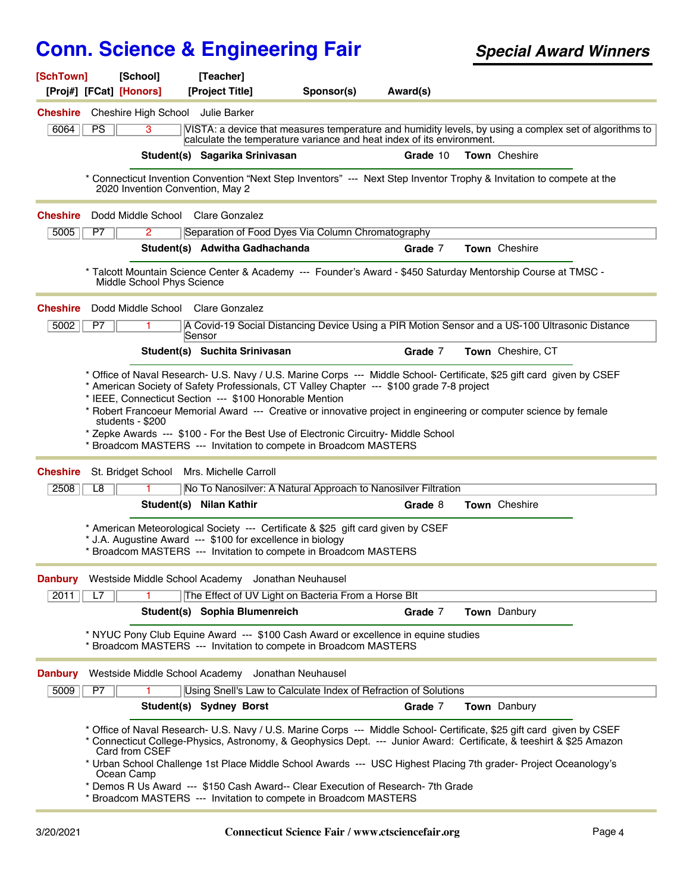| [SchTown]       | [School]                          | [Teacher]                                                                                                                                                                                                                                                                                                      |            |          |                                                                                                                                                                                                                                                                                                                                                                    |
|-----------------|-----------------------------------|----------------------------------------------------------------------------------------------------------------------------------------------------------------------------------------------------------------------------------------------------------------------------------------------------------------|------------|----------|--------------------------------------------------------------------------------------------------------------------------------------------------------------------------------------------------------------------------------------------------------------------------------------------------------------------------------------------------------------------|
|                 | [Proj#] [FCat] [Honors]           | [Project Title]                                                                                                                                                                                                                                                                                                | Sponsor(s) | Award(s) |                                                                                                                                                                                                                                                                                                                                                                    |
| <b>Cheshire</b> | Cheshire High School Julie Barker |                                                                                                                                                                                                                                                                                                                |            |          |                                                                                                                                                                                                                                                                                                                                                                    |
| 6064            | PS<br>$\overline{3}$              | calculate the temperature variance and heat index of its environment.                                                                                                                                                                                                                                          |            |          | VISTA: a device that measures temperature and humidity levels, by using a complex set of algorithms to                                                                                                                                                                                                                                                             |
|                 |                                   | Student(s) Sagarika Srinivasan                                                                                                                                                                                                                                                                                 |            | Grade 10 | Town Cheshire                                                                                                                                                                                                                                                                                                                                                      |
|                 | 2020 Invention Convention, May 2  |                                                                                                                                                                                                                                                                                                                |            |          | * Connecticut Invention Convention "Next Step Inventors" --- Next Step Inventor Trophy & Invitation to compete at the                                                                                                                                                                                                                                              |
| <b>Cheshire</b> |                                   | Dodd Middle School Clare Gonzalez                                                                                                                                                                                                                                                                              |            |          |                                                                                                                                                                                                                                                                                                                                                                    |
| 5005            | $\overline{2}$<br>P7              | Separation of Food Dyes Via Column Chromatography                                                                                                                                                                                                                                                              |            |          |                                                                                                                                                                                                                                                                                                                                                                    |
|                 |                                   | Student(s) Adwitha Gadhachanda                                                                                                                                                                                                                                                                                 |            | Grade 7  | Town Cheshire                                                                                                                                                                                                                                                                                                                                                      |
|                 | Middle School Phys Science        |                                                                                                                                                                                                                                                                                                                |            |          | * Talcott Mountain Science Center & Academy --- Founder's Award - \$450 Saturday Mentorship Course at TMSC -                                                                                                                                                                                                                                                       |
| <b>Cheshire</b> |                                   | Dodd Middle School Clare Gonzalez                                                                                                                                                                                                                                                                              |            |          |                                                                                                                                                                                                                                                                                                                                                                    |
| 5002            | P7                                | Sensor                                                                                                                                                                                                                                                                                                         |            |          | A Covid-19 Social Distancing Device Using a PIR Motion Sensor and a US-100 Ultrasonic Distance                                                                                                                                                                                                                                                                     |
|                 |                                   | Student(s) Suchita Srinivasan                                                                                                                                                                                                                                                                                  |            | Grade 7  | Town Cheshire, CT                                                                                                                                                                                                                                                                                                                                                  |
|                 | students - \$200                  | * American Society of Safety Professionals, CT Valley Chapter --- \$100 grade 7-8 project<br>* IEEE, Connecticut Section --- \$100 Honorable Mention<br>* Zepke Awards --- \$100 - For the Best Use of Electronic Circuitry- Middle School<br>* Broadcom MASTERS --- Invitation to compete in Broadcom MASTERS |            |          | * Office of Naval Research- U.S. Navy / U.S. Marine Corps --- Middle School- Certificate, \$25 gift card given by CSEF<br>* Robert Francoeur Memorial Award --- Creative or innovative project in engineering or computer science by female                                                                                                                        |
| <b>Cheshire</b> | St. Bridget School                | Mrs. Michelle Carroll                                                                                                                                                                                                                                                                                          |            |          |                                                                                                                                                                                                                                                                                                                                                                    |
| 2508            | L8                                | No To Nanosilver: A Natural Approach to Nanosilver Filtration                                                                                                                                                                                                                                                  |            |          |                                                                                                                                                                                                                                                                                                                                                                    |
|                 |                                   | Student(s) Nilan Kathir                                                                                                                                                                                                                                                                                        |            | Grade 8  | Town Cheshire                                                                                                                                                                                                                                                                                                                                                      |
|                 |                                   | * American Meteorological Society --- Certificate & \$25 gift card given by CSEF<br>* J.A. Augustine Award --- \$100 for excellence in biology<br>* Broadcom MASTERS --- Invitation to compete in Broadcom MASTERS                                                                                             |            |          |                                                                                                                                                                                                                                                                                                                                                                    |
| Danbury         |                                   | Westside Middle School Academy Jonathan Neuhausel                                                                                                                                                                                                                                                              |            |          |                                                                                                                                                                                                                                                                                                                                                                    |
| 2011            | L7                                | The Effect of UV Light on Bacteria From a Horse Blt                                                                                                                                                                                                                                                            |            |          |                                                                                                                                                                                                                                                                                                                                                                    |
|                 |                                   | Student(s) Sophia Blumenreich                                                                                                                                                                                                                                                                                  |            | Grade 7  | Town Danbury                                                                                                                                                                                                                                                                                                                                                       |
|                 |                                   | * NYUC Pony Club Equine Award --- \$100 Cash Award or excellence in equine studies<br>* Broadcom MASTERS --- Invitation to compete in Broadcom MASTERS                                                                                                                                                         |            |          |                                                                                                                                                                                                                                                                                                                                                                    |
| <b>Danbury</b>  |                                   | Westside Middle School Academy Jonathan Neuhausel                                                                                                                                                                                                                                                              |            |          |                                                                                                                                                                                                                                                                                                                                                                    |
| 5009            | P7                                | Using Snell's Law to Calculate Index of Refraction of Solutions                                                                                                                                                                                                                                                |            |          |                                                                                                                                                                                                                                                                                                                                                                    |
|                 |                                   | Student(s) Sydney Borst                                                                                                                                                                                                                                                                                        |            | Grade 7  | Town Danbury                                                                                                                                                                                                                                                                                                                                                       |
|                 | Card from CSEF                    |                                                                                                                                                                                                                                                                                                                |            |          | * Office of Naval Research- U.S. Navy / U.S. Marine Corps --- Middle School- Certificate, \$25 gift card given by CSEF<br>* Connecticut College-Physics, Astronomy, & Geophysics Dept. --- Junior Award: Certificate, & teeshirt & \$25 Amazon<br>* Urban School Challenge 1st Place Middle School Awards --- USC Highest Placing 7th grader- Project Oceanology's |
|                 | Ocean Camp                        | * Demos R Us Award --- \$150 Cash Award-- Clear Execution of Research- 7th Grade<br>* Broadcom MASTERS --- Invitation to compete in Broadcom MASTERS                                                                                                                                                           |            |          |                                                                                                                                                                                                                                                                                                                                                                    |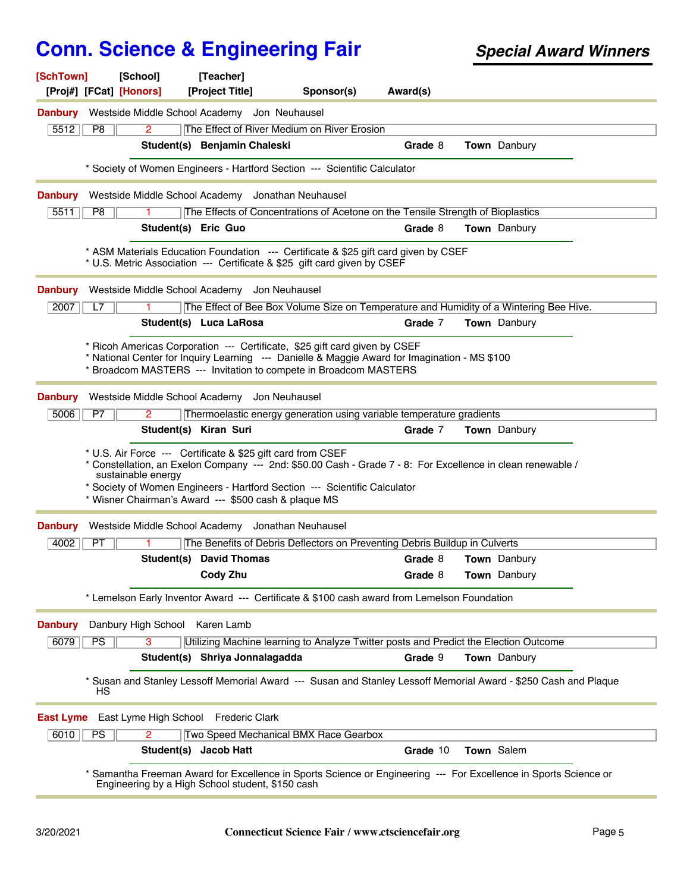| [SchTown]                    | [School]<br>[Proj#] [FCat] [Honors] | [Teacher]<br>[Project Title]                                                                                                                                                                                                                                                                                    | Sponsor(s)         | Award(s) |                     |  |
|------------------------------|-------------------------------------|-----------------------------------------------------------------------------------------------------------------------------------------------------------------------------------------------------------------------------------------------------------------------------------------------------------------|--------------------|----------|---------------------|--|
|                              |                                     |                                                                                                                                                                                                                                                                                                                 |                    |          |                     |  |
| <b>Danbury</b><br>5512<br>P8 | 2.                                  | Westside Middle School Academy Jon Neuhausel<br>The Effect of River Medium on River Erosion                                                                                                                                                                                                                     |                    |          |                     |  |
|                              |                                     | Student(s) Benjamin Chaleski                                                                                                                                                                                                                                                                                    |                    | Grade 8  | Town Danbury        |  |
|                              |                                     | * Society of Women Engineers - Hartford Section --- Scientific Calculator                                                                                                                                                                                                                                       |                    |          |                     |  |
|                              |                                     |                                                                                                                                                                                                                                                                                                                 |                    |          |                     |  |
| <b>Danbury</b>               | Westside Middle School Academy      |                                                                                                                                                                                                                                                                                                                 | Jonathan Neuhausel |          |                     |  |
| P8<br>5511                   |                                     | The Effects of Concentrations of Acetone on the Tensile Strength of Bioplastics                                                                                                                                                                                                                                 |                    |          |                     |  |
|                              |                                     | Student(s) Eric Guo                                                                                                                                                                                                                                                                                             |                    | Grade 8  | <b>Town</b> Danbury |  |
|                              |                                     | * ASM Materials Education Foundation --- Certificate & \$25 gift card given by CSEF<br>* U.S. Metric Association --- Certificate & \$25 gift card given by CSEF                                                                                                                                                 |                    |          |                     |  |
| <b>Danbury</b>               |                                     | Westside Middle School Academy Jon Neuhausel                                                                                                                                                                                                                                                                    |                    |          |                     |  |
| 2007<br>L7                   |                                     | The Effect of Bee Box Volume Size on Temperature and Humidity of a Wintering Bee Hive.                                                                                                                                                                                                                          |                    |          |                     |  |
|                              |                                     | Student(s) Luca LaRosa                                                                                                                                                                                                                                                                                          |                    | Grade 7  | <b>Town</b> Danbury |  |
|                              |                                     | * Ricoh Americas Corporation --- Certificate, \$25 gift card given by CSEF<br>* National Center for Inquiry Learning --- Danielle & Maggie Award for Imagination - MS \$100<br>* Broadcom MASTERS --- Invitation to compete in Broadcom MASTERS                                                                 |                    |          |                     |  |
| <b>Danbury</b>               |                                     | Westside Middle School Academy Jon Neuhausel                                                                                                                                                                                                                                                                    |                    |          |                     |  |
| 5006<br>P7                   | 2                                   | Thermoelastic energy generation using variable temperature gradients                                                                                                                                                                                                                                            |                    |          |                     |  |
|                              |                                     | Student(s) Kiran Suri                                                                                                                                                                                                                                                                                           |                    | Grade 7  | <b>Town</b> Danbury |  |
|                              | sustainable energy                  | * U.S. Air Force --- Certificate & \$25 gift card from CSEF<br>* Constellation, an Exelon Company --- 2nd: \$50.00 Cash - Grade 7 - 8: For Excellence in clean renewable /<br>* Society of Women Engineers - Hartford Section --- Scientific Calculator<br>* Wisner Chairman's Award --- \$500 cash & plaque MS |                    |          |                     |  |
| <b>Danbury</b>               |                                     | Westside Middle School Academy Jonathan Neuhausel                                                                                                                                                                                                                                                               |                    |          |                     |  |
| 4002<br><b>PT</b>            |                                     | The Benefits of Debris Deflectors on Preventing Debris Buildup in Culverts                                                                                                                                                                                                                                      |                    |          |                     |  |
|                              |                                     | <b>Student(s)</b> David Thomas                                                                                                                                                                                                                                                                                  |                    | Grade 8  | <b>Town</b> Danbury |  |
|                              |                                     | Cody Zhu                                                                                                                                                                                                                                                                                                        |                    | Grade 8  | Town Danbury        |  |
|                              |                                     | * Lemelson Early Inventor Award --- Certificate & \$100 cash award from Lemelson Foundation                                                                                                                                                                                                                     |                    |          |                     |  |
| <b>Danbury</b>               | Danbury High School Karen Lamb      |                                                                                                                                                                                                                                                                                                                 |                    |          |                     |  |
| 6079<br><b>PS</b>            | 3                                   | Utilizing Machine learning to Analyze Twitter posts and Predict the Election Outcome                                                                                                                                                                                                                            |                    |          |                     |  |
|                              |                                     | Student(s) Shriya Jonnalagadda                                                                                                                                                                                                                                                                                  |                    | Grade 9  | Town Danbury        |  |
|                              | НS                                  | Susan and Stanley Lessoff Memorial Award --- Susan and Stanley Lessoff Memorial Award - \$250 Cash and Plaque                                                                                                                                                                                                   |                    |          |                     |  |
| East Lyme                    |                                     | East Lyme High School Frederic Clark                                                                                                                                                                                                                                                                            |                    |          |                     |  |
| 6010<br><b>PS</b>            | 2                                   | Two Speed Mechanical BMX Race Gearbox                                                                                                                                                                                                                                                                           |                    |          |                     |  |
|                              |                                     | Student(s) Jacob Hatt                                                                                                                                                                                                                                                                                           |                    | Grade 10 | Town Salem          |  |
|                              |                                     | Samantha Freeman Award for Excellence in Sports Science or Engineering --- For Excellence in Sports Science or<br>Engineering by a High School student, \$150 cash                                                                                                                                              |                    |          |                     |  |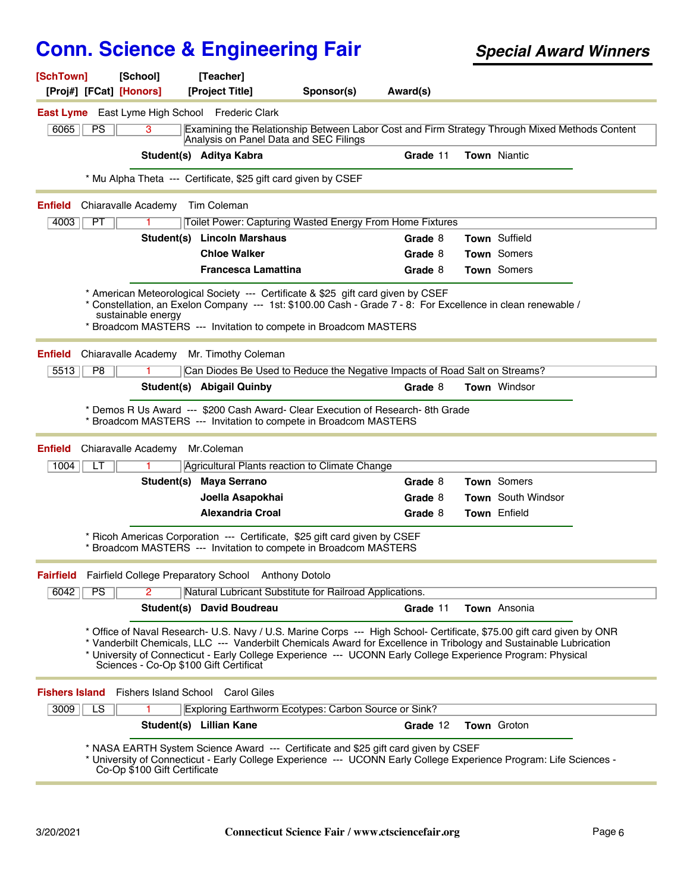| [SchTown]<br>[School]<br>[Proj#] [FCat] [Honors] | [Teacher]<br>[Project Title]                                                                                                                                                                                                                                                                                                                                                                          | Sponsor(s) | Award(s) |                           |                                                                                               |
|--------------------------------------------------|-------------------------------------------------------------------------------------------------------------------------------------------------------------------------------------------------------------------------------------------------------------------------------------------------------------------------------------------------------------------------------------------------------|------------|----------|---------------------------|-----------------------------------------------------------------------------------------------|
|                                                  | <b>East Lyme</b> East Lyme High School Frederic Clark                                                                                                                                                                                                                                                                                                                                                 |            |          |                           |                                                                                               |
| 6065<br>PS<br>3                                  | Analysis on Panel Data and SEC Filings                                                                                                                                                                                                                                                                                                                                                                |            |          |                           | Examining the Relationship Between Labor Cost and Firm Strategy Through Mixed Methods Content |
|                                                  | Student(s) Aditya Kabra                                                                                                                                                                                                                                                                                                                                                                               |            | Grade 11 | <b>Town Niantic</b>       |                                                                                               |
|                                                  | * Mu Alpha Theta --- Certificate, \$25 gift card given by CSEF                                                                                                                                                                                                                                                                                                                                        |            |          |                           |                                                                                               |
| <b>Enfield</b><br>Chiaravalle Academy            | Tim Coleman                                                                                                                                                                                                                                                                                                                                                                                           |            |          |                           |                                                                                               |
| 4003<br>PT                                       | Toilet Power: Capturing Wasted Energy From Home Fixtures                                                                                                                                                                                                                                                                                                                                              |            |          |                           |                                                                                               |
|                                                  | Student(s) Lincoln Marshaus                                                                                                                                                                                                                                                                                                                                                                           |            | Grade 8  | Town Suffield             |                                                                                               |
|                                                  | <b>Chloe Walker</b>                                                                                                                                                                                                                                                                                                                                                                                   |            | Grade 8  | Town Somers               |                                                                                               |
|                                                  | Francesca Lamattina                                                                                                                                                                                                                                                                                                                                                                                   |            | Grade 8  | Town Somers               |                                                                                               |
| sustainable energy                               | * American Meteorological Society --- Certificate & \$25 gift card given by CSEF<br>* Constellation, an Exelon Company --- 1st: \$100.00 Cash - Grade 7 - 8: For Excellence in clean renewable /<br>* Broadcom MASTERS --- Invitation to compete in Broadcom MASTERS                                                                                                                                  |            |          |                           |                                                                                               |
| <b>Enfield</b><br>Chiaravalle Academy            | Mr. Timothy Coleman                                                                                                                                                                                                                                                                                                                                                                                   |            |          |                           |                                                                                               |
| 5513<br>P <sub>8</sub>                           | Can Diodes Be Used to Reduce the Negative Impacts of Road Salt on Streams?                                                                                                                                                                                                                                                                                                                            |            |          |                           |                                                                                               |
|                                                  | Student(s) Abigail Quinby                                                                                                                                                                                                                                                                                                                                                                             |            | Grade 8  | <b>Town Windsor</b>       |                                                                                               |
|                                                  | Demos R Us Award --- \$200 Cash Award- Clear Execution of Research-8th Grade<br>Broadcom MASTERS --- Invitation to compete in Broadcom MASTERS                                                                                                                                                                                                                                                        |            |          |                           |                                                                                               |
| Chiaravalle Academy<br><b>Enfield</b>            | Mr.Coleman                                                                                                                                                                                                                                                                                                                                                                                            |            |          |                           |                                                                                               |
| 1004<br>LT                                       | Agricultural Plants reaction to Climate Change                                                                                                                                                                                                                                                                                                                                                        |            |          |                           |                                                                                               |
|                                                  | Student(s) Maya Serrano                                                                                                                                                                                                                                                                                                                                                                               |            | Grade 8  | <b>Town</b> Somers        |                                                                                               |
|                                                  | Joella Asapokhai                                                                                                                                                                                                                                                                                                                                                                                      |            | Grade 8  | <b>Town</b> South Windsor |                                                                                               |
|                                                  | <b>Alexandria Croal</b>                                                                                                                                                                                                                                                                                                                                                                               |            | Grade 8  | Town Enfield              |                                                                                               |
|                                                  | * Ricoh Americas Corporation --- Certificate, \$25 gift card given by CSEF<br>* Broadcom MASTERS --- Invitation to compete in Broadcom MASTERS                                                                                                                                                                                                                                                        |            |          |                           |                                                                                               |
| <b>Fairfield</b>                                 | Fairfield College Preparatory School Anthony Dotolo                                                                                                                                                                                                                                                                                                                                                   |            |          |                           |                                                                                               |
| 6042<br>PS<br>$\overline{2}$                     | Natural Lubricant Substitute for Railroad Applications.                                                                                                                                                                                                                                                                                                                                               |            |          |                           |                                                                                               |
|                                                  | Student(s) David Boudreau                                                                                                                                                                                                                                                                                                                                                                             |            | Grade 11 | Town Ansonia              |                                                                                               |
|                                                  | * Office of Naval Research- U.S. Navy / U.S. Marine Corps --- High School- Certificate, \$75.00 gift card given by ONR<br>* Vanderbilt Chemicals, LLC --- Vanderbilt Chemicals Award for Excellence in Tribology and Sustainable Lubrication<br>* University of Connecticut - Early College Experience --- UCONN Early College Experience Program: Physical<br>Sciences - Co-Op \$100 Gift Certificat |            |          |                           |                                                                                               |
|                                                  | <b>Fishers Island</b> Fishers Island School Carol Giles                                                                                                                                                                                                                                                                                                                                               |            |          |                           |                                                                                               |
| 3009<br>LS                                       | Exploring Earthworm Ecotypes: Carbon Source or Sink?                                                                                                                                                                                                                                                                                                                                                  |            |          |                           |                                                                                               |
|                                                  | Student(s) Lillian Kane                                                                                                                                                                                                                                                                                                                                                                               |            | Grade 12 | Town Groton               |                                                                                               |
|                                                  | * NASA EARTH System Science Award --- Certificate and \$25 gift card given by CSEF<br>* University of Connecticut - Early College Experience --- UCONN Early College Experience Program: Life Sciences -<br>Co-Op \$100 Gift Certificate                                                                                                                                                              |            |          |                           |                                                                                               |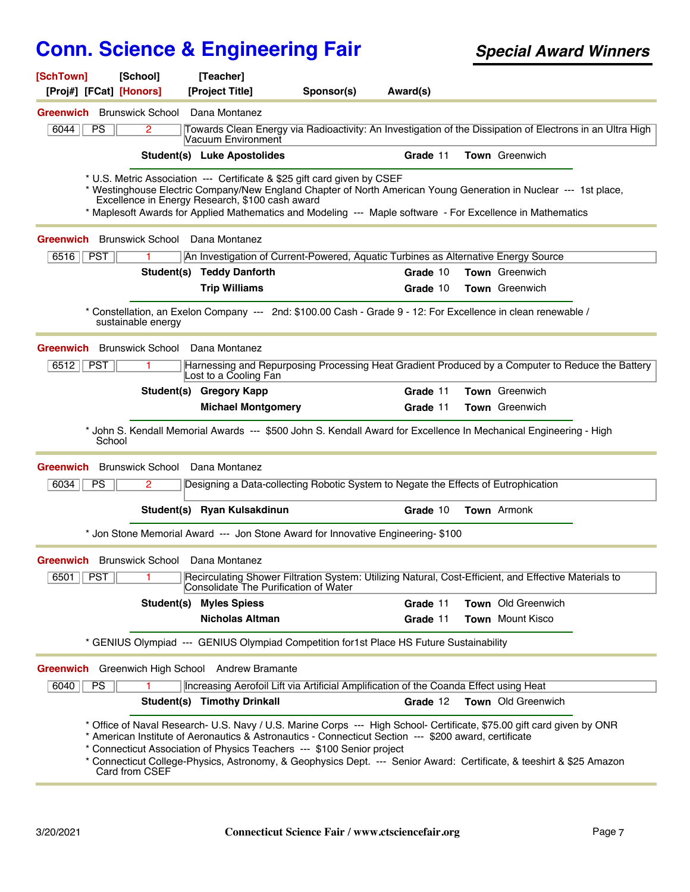| [SchTown]                         | [School]                          | [Teacher]                                       |                                                                                                                                                                                                                                                                                                                                                                                                                                   |          |                         |  |
|-----------------------------------|-----------------------------------|-------------------------------------------------|-----------------------------------------------------------------------------------------------------------------------------------------------------------------------------------------------------------------------------------------------------------------------------------------------------------------------------------------------------------------------------------------------------------------------------------|----------|-------------------------|--|
| [Proj#] [FCat] [Honors]           |                                   | [Project Title]                                 | Sponsor(s)                                                                                                                                                                                                                                                                                                                                                                                                                        | Award(s) |                         |  |
| <b>Greenwich</b> Brunswick School |                                   | Dana Montanez                                   |                                                                                                                                                                                                                                                                                                                                                                                                                                   |          |                         |  |
| 6044<br><b>PS</b>                 | 2                                 | Vacuum Environment                              | Towards Clean Energy via Radioactivity: An Investigation of the Dissipation of Electrons in an Ultra High                                                                                                                                                                                                                                                                                                                         |          |                         |  |
|                                   |                                   | Student(s) Luke Apostolides                     |                                                                                                                                                                                                                                                                                                                                                                                                                                   | Grade 11 | Town Greenwich          |  |
|                                   |                                   | Excellence in Energy Research, \$100 cash award | * U.S. Metric Association --- Certificate & \$25 gift card given by CSEF<br>* Westinghouse Electric Company/New England Chapter of North American Young Generation in Nuclear --- 1st place,<br>* Maplesoft Awards for Applied Mathematics and Modeling --- Maple software - For Excellence in Mathematics                                                                                                                        |          |                         |  |
|                                   |                                   | <b>Greenwich</b> Brunswick School Dana Montanez |                                                                                                                                                                                                                                                                                                                                                                                                                                   |          |                         |  |
| <b>PST</b><br>6516                | 1.                                |                                                 | An Investigation of Current-Powered, Aquatic Turbines as Alternative Energy Source                                                                                                                                                                                                                                                                                                                                                |          |                         |  |
|                                   |                                   | Student(s) Teddy Danforth                       |                                                                                                                                                                                                                                                                                                                                                                                                                                   | Grade 10 | <b>Town</b> Greenwich   |  |
|                                   |                                   | <b>Trip Williams</b>                            |                                                                                                                                                                                                                                                                                                                                                                                                                                   | Grade 10 | Town Greenwich          |  |
|                                   | sustainable energy                |                                                 | Constellation, an Exelon Company --- 2nd: \$100.00 Cash - Grade 9 - 12: For Excellence in clean renewable /                                                                                                                                                                                                                                                                                                                       |          |                         |  |
|                                   | <b>Greenwich</b> Brunswick School | Dana Montanez                                   |                                                                                                                                                                                                                                                                                                                                                                                                                                   |          |                         |  |
| 6512<br><b>PST</b>                |                                   | Lost to a Cooling Fan                           | Harnessing and Repurposing Processing Heat Gradient Produced by a Computer to Reduce the Battery                                                                                                                                                                                                                                                                                                                                  |          |                         |  |
|                                   |                                   | Student(s) Gregory Kapp                         |                                                                                                                                                                                                                                                                                                                                                                                                                                   | Grade 11 | Town Greenwich          |  |
|                                   |                                   | <b>Michael Montgomery</b>                       |                                                                                                                                                                                                                                                                                                                                                                                                                                   | Grade 11 | <b>Town</b> Greenwich   |  |
|                                   | School                            |                                                 | * John S. Kendall Memorial Awards --- \$500 John S. Kendall Award for Excellence In Mechanical Engineering - High                                                                                                                                                                                                                                                                                                                 |          |                         |  |
| <b>Greenwich</b>                  | <b>Brunswick School</b>           | Dana Montanez                                   |                                                                                                                                                                                                                                                                                                                                                                                                                                   |          |                         |  |
| 6034<br><b>PS</b>                 | 2.                                |                                                 | Designing a Data-collecting Robotic System to Negate the Effects of Eutrophication                                                                                                                                                                                                                                                                                                                                                |          |                         |  |
|                                   |                                   | Student(s) Ryan Kulsakdinun                     |                                                                                                                                                                                                                                                                                                                                                                                                                                   | Grade 10 | Town Armonk             |  |
|                                   |                                   |                                                 | * Jon Stone Memorial Award --- Jon Stone Award for Innovative Engineering- \$100                                                                                                                                                                                                                                                                                                                                                  |          |                         |  |
|                                   |                                   | Greenwich Brunswick School Dana Montanez        |                                                                                                                                                                                                                                                                                                                                                                                                                                   |          |                         |  |
| 6501   PST                        |                                   | Consolidate The Purification of Water           | Recirculating Shower Filtration System: Utilizing Natural, Cost-Efficient, and Effective Materials to                                                                                                                                                                                                                                                                                                                             |          |                         |  |
|                                   |                                   | <b>Student(s) Myles Spiess</b>                  |                                                                                                                                                                                                                                                                                                                                                                                                                                   | Grade 11 | Town Old Greenwich      |  |
|                                   |                                   | <b>Nicholas Altman</b>                          |                                                                                                                                                                                                                                                                                                                                                                                                                                   | Grade 11 | <b>Town</b> Mount Kisco |  |
|                                   |                                   |                                                 | * GENIUS Olympiad --- GENIUS Olympiad Competition for1st Place HS Future Sustainability                                                                                                                                                                                                                                                                                                                                           |          |                         |  |
|                                   |                                   | Greenwich Greenwich High School Andrew Bramante |                                                                                                                                                                                                                                                                                                                                                                                                                                   |          |                         |  |
| PS<br>6040                        |                                   |                                                 | Increasing Aerofoil Lift via Artificial Amplification of the Coanda Effect using Heat                                                                                                                                                                                                                                                                                                                                             |          |                         |  |
|                                   |                                   | <b>Student(s) Timothy Drinkall</b>              |                                                                                                                                                                                                                                                                                                                                                                                                                                   | Grade 12 | Town Old Greenwich      |  |
|                                   | Card from CSEF                    |                                                 | * Office of Naval Research- U.S. Navy / U.S. Marine Corps --- High School- Certificate, \$75.00 gift card given by ONR<br>* American Institute of Aeronautics & Astronautics - Connecticut Section --- \$200 award, certificate<br>* Connecticut Association of Physics Teachers --- \$100 Senior project<br>* Connecticut College-Physics, Astronomy, & Geophysics Dept. --- Senior Award: Certificate, & teeshirt & \$25 Amazon |          |                         |  |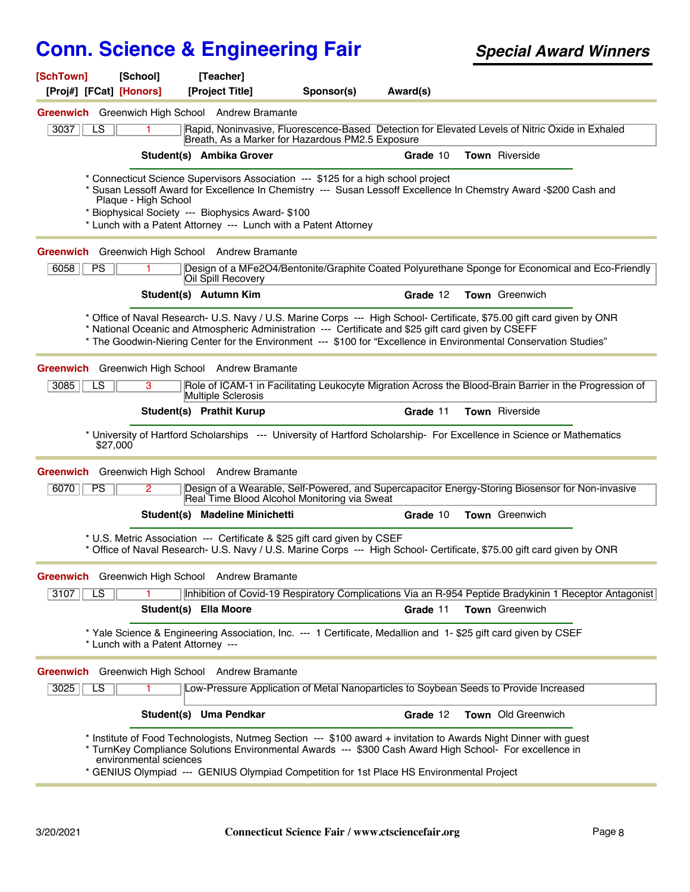| [SchTown]               | [School]                           | [Teacher]                                         |                                                                                                                                                    |          |                                                                                                                                                                                                                                             |  |
|-------------------------|------------------------------------|---------------------------------------------------|----------------------------------------------------------------------------------------------------------------------------------------------------|----------|---------------------------------------------------------------------------------------------------------------------------------------------------------------------------------------------------------------------------------------------|--|
| [Proj#] [FCat] [Honors] |                                    | [Project Title]                                   | Sponsor(s)                                                                                                                                         | Award(s) |                                                                                                                                                                                                                                             |  |
|                         |                                    | Greenwich Greenwich High School Andrew Bramante   |                                                                                                                                                    |          |                                                                                                                                                                                                                                             |  |
| 3037<br>LS              |                                    |                                                   | Breath, As a Marker for Hazardous PM2.5 Exposure                                                                                                   |          | Rapid, Noninvasive, Fluorescence-Based Detection for Elevated Levels of Nitric Oxide in Exhaled                                                                                                                                             |  |
|                         |                                    | Student(s) Ambika Grover                          |                                                                                                                                                    | Grade 10 | <b>Town</b> Riverside                                                                                                                                                                                                                       |  |
|                         | Plaque - High School               | * Biophysical Society --- Biophysics Award- \$100 | Connecticut Science Supervisors Association --- \$125 for a high school project<br>* Lunch with a Patent Attorney --- Lunch with a Patent Attorney |          | * Susan Lessoff Award for Excellence In Chemistry --- Susan Lessoff Excellence In Chemstry Award -\$200 Cash and                                                                                                                            |  |
|                         |                                    | Greenwich Greenwich High School Andrew Bramante   |                                                                                                                                                    |          |                                                                                                                                                                                                                                             |  |
| 6058<br><b>PS</b>       |                                    | Oil Spill Recovery                                |                                                                                                                                                    |          | Design of a MFe2O4/Bentonite/Graphite Coated Polyurethane Sponge for Economical and Eco-Friendly                                                                                                                                            |  |
|                         |                                    | Student(s) Autumn Kim                             |                                                                                                                                                    | Grade 12 | <b>Town</b> Greenwich                                                                                                                                                                                                                       |  |
|                         |                                    |                                                   | * National Oceanic and Atmospheric Administration --- Certificate and \$25 gift card given by CSEFF                                                |          | * Office of Naval Research- U.S. Navy / U.S. Marine Corps --- High School- Certificate, \$75.00 gift card given by ONR<br>* The Goodwin-Niering Center for the Environment --- \$100 for "Excellence in Environmental Conservation Studies" |  |
|                         |                                    | Greenwich Greenwich High School Andrew Bramante   |                                                                                                                                                    |          |                                                                                                                                                                                                                                             |  |
| LS<br>3085              | 3                                  | Multiple Sclerosis                                |                                                                                                                                                    |          | Role of ICAM-1 in Facilitating Leukocyte Migration Across the Blood-Brain Barrier in the Progression of                                                                                                                                     |  |
|                         |                                    | Student(s) Prathit Kurup                          |                                                                                                                                                    | Grade 11 | <b>Town</b> Riverside                                                                                                                                                                                                                       |  |
| \$27,000                |                                    |                                                   |                                                                                                                                                    |          | * University of Hartford Scholarships --- University of Hartford Scholarship- For Excellence in Science or Mathematics                                                                                                                      |  |
|                         |                                    | Greenwich Greenwich High School Andrew Bramante   |                                                                                                                                                    |          |                                                                                                                                                                                                                                             |  |
| 6070<br>PS              | $\mathbf{2}^{\circ}$               |                                                   | Real Time Blood Alcohol Monitoring via Sweat                                                                                                       |          | Design of a Wearable, Self-Powered, and Supercapacitor Energy-Storing Biosensor for Non-invasive                                                                                                                                            |  |
|                         |                                    | Student(s) Madeline Minichetti                    |                                                                                                                                                    | Grade 10 | <b>Town</b> Greenwich                                                                                                                                                                                                                       |  |
|                         |                                    |                                                   | * U.S. Metric Association --- Certificate & \$25 gift card given by CSEF                                                                           |          | * Office of Naval Research- U.S. Navy / U.S. Marine Corps --- High School- Certificate, \$75.00 gift card given by ONR                                                                                                                      |  |
|                         |                                    | Greenwich Greenwich High School Andrew Bramante   |                                                                                                                                                    |          |                                                                                                                                                                                                                                             |  |
| 3107<br>LS.             |                                    |                                                   |                                                                                                                                                    |          | Inhibition of Covid-19 Respiratory Complications Via an R-954 Peptide Bradykinin 1 Receptor Antagonist                                                                                                                                      |  |
|                         |                                    | Student(s) Ella Moore                             |                                                                                                                                                    | Grade 11 | Town Greenwich                                                                                                                                                                                                                              |  |
|                         | * Lunch with a Patent Attorney --- |                                                   |                                                                                                                                                    |          | * Yale Science & Engineering Association, Inc. --- 1 Certificate, Medallion and 1-\$25 gift card given by CSEF                                                                                                                              |  |
|                         |                                    | Greenwich Greenwich High School Andrew Bramante   |                                                                                                                                                    |          |                                                                                                                                                                                                                                             |  |
| $\overline{LS}$<br>3025 | 1.                                 |                                                   |                                                                                                                                                    |          | Low-Pressure Application of Metal Nanoparticles to Soybean Seeds to Provide Increased                                                                                                                                                       |  |
|                         |                                    | Student(s) Uma Pendkar                            |                                                                                                                                                    | Grade 12 | Town Old Greenwich                                                                                                                                                                                                                          |  |
|                         | environmental sciences             |                                                   | * GENIUS Olympiad --- GENIUS Olympiad Competition for 1st Place HS Environmental Project                                                           |          | * Institute of Food Technologists, Nutmeg Section --- \$100 award + invitation to Awards Night Dinner with guest<br>* TurnKey Compliance Solutions Environmental Awards --- \$300 Cash Award High School- For excellence in                 |  |
|                         |                                    |                                                   |                                                                                                                                                    |          |                                                                                                                                                                                                                                             |  |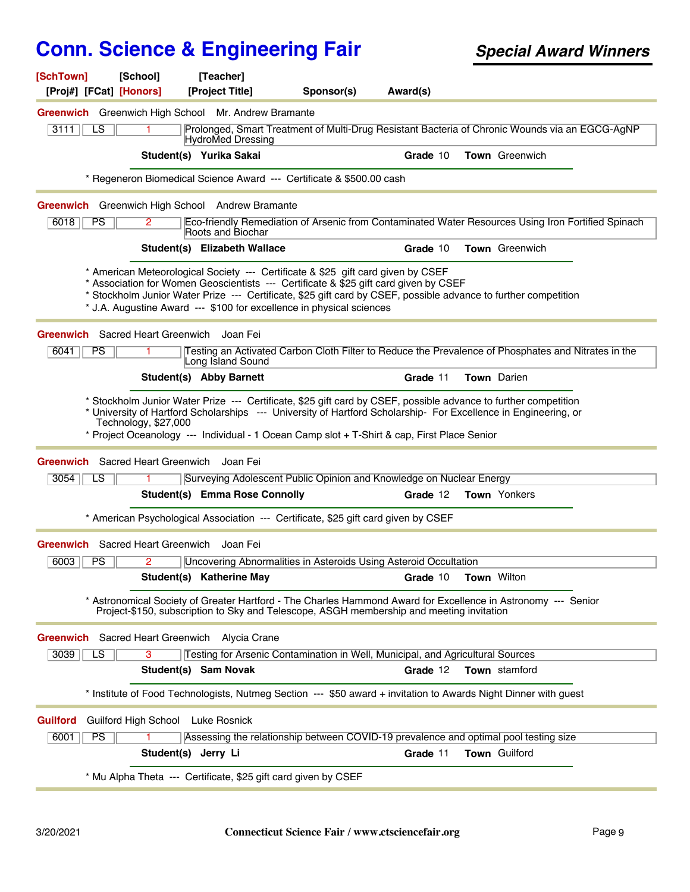| [SchTown]<br>[Proj#] [FCat] [Honors] | [School]                                  | [Teacher]<br>[Project Title]                                   | Sponsor(s)                                                                                                                                                                                                                                                                                                                                                          | Award(s) |                     |  |
|--------------------------------------|-------------------------------------------|----------------------------------------------------------------|---------------------------------------------------------------------------------------------------------------------------------------------------------------------------------------------------------------------------------------------------------------------------------------------------------------------------------------------------------------------|----------|---------------------|--|
|                                      |                                           | Greenwich Greenwich High School Mr. Andrew Bramante            |                                                                                                                                                                                                                                                                                                                                                                     |          |                     |  |
| 3111<br>LS                           |                                           | HydroMed Dressing                                              | Prolonged, Smart Treatment of Multi-Drug Resistant Bacteria of Chronic Wounds via an EGCG-AgNP                                                                                                                                                                                                                                                                      |          |                     |  |
|                                      |                                           | Student(s) Yurika Sakai                                        |                                                                                                                                                                                                                                                                                                                                                                     | Grade 10 | Town Greenwich      |  |
|                                      |                                           |                                                                | * Regeneron Biomedical Science Award --- Certificate & \$500.00 cash                                                                                                                                                                                                                                                                                                |          |                     |  |
|                                      |                                           | Greenwich Greenwich High School Andrew Bramante                |                                                                                                                                                                                                                                                                                                                                                                     |          |                     |  |
| PS<br>6018                           | $\mathbf{2}^{\circ}$                      | Roots and Biochar                                              | Eco-friendly Remediation of Arsenic from Contaminated Water Resources Using Iron Fortified Spinach                                                                                                                                                                                                                                                                  |          |                     |  |
|                                      |                                           | Student(s) Elizabeth Wallace                                   |                                                                                                                                                                                                                                                                                                                                                                     | Grade 10 | Town Greenwich      |  |
|                                      |                                           |                                                                | * American Meteorological Society --- Certificate & \$25 gift card given by CSEF<br>* Association for Women Geoscientists --- Certificate & \$25 gift card given by CSEF<br>* Stockholm Junior Water Prize --- Certificate, \$25 gift card by CSEF, possible advance to further competition<br>* J.A. Augustine Award --- \$100 for excellence in physical sciences |          |                     |  |
| 6041<br><b>PS</b>                    | Greenwich Sacred Heart Greenwich Joan Fei | Long Island Sound                                              | Testing an Activated Carbon Cloth Filter to Reduce the Prevalence of Phosphates and Nitrates in the                                                                                                                                                                                                                                                                 |          |                     |  |
|                                      |                                           | Student(s) Abby Barnett                                        |                                                                                                                                                                                                                                                                                                                                                                     | Grade 11 | Town Darien         |  |
|                                      | Technology, \$27,000                      |                                                                | * Stockholm Junior Water Prize --- Certificate, \$25 gift card by CSEF, possible advance to further competition<br>* University of Hartford Scholarships --- University of Hartford Scholarship- For Excellence in Engineering, or<br>* Project Oceanology --- Individual - 1 Ocean Camp slot + T-Shirt & cap, First Place Senior                                   |          |                     |  |
|                                      | <b>Greenwich</b> Sacred Heart Greenwich   | Joan Fei                                                       |                                                                                                                                                                                                                                                                                                                                                                     |          |                     |  |
| 3054<br>LS.                          |                                           |                                                                | Surveying Adolescent Public Opinion and Knowledge on Nuclear Energy                                                                                                                                                                                                                                                                                                 |          |                     |  |
|                                      |                                           | <b>Student(s) Emma Rose Connolly</b>                           |                                                                                                                                                                                                                                                                                                                                                                     | Grade 12 | <b>Town</b> Yonkers |  |
|                                      |                                           |                                                                | * American Psychological Association --- Certificate, \$25 gift card given by CSEF                                                                                                                                                                                                                                                                                  |          |                     |  |
|                                      | Greenwich Sacred Heart Greenwich          | Joan Fei                                                       |                                                                                                                                                                                                                                                                                                                                                                     |          |                     |  |
| 6003<br>PS.                          | $\overline{2}$                            |                                                                | Uncovering Abnormalities in Asteroids Using Asteroid Occultation                                                                                                                                                                                                                                                                                                    |          |                     |  |
|                                      |                                           | Student(s) Katherine May                                       |                                                                                                                                                                                                                                                                                                                                                                     | Grade 10 | <b>Town Wilton</b>  |  |
|                                      |                                           |                                                                | * Astronomical Society of Greater Hartford - The Charles Hammond Award for Excellence in Astronomy --- Senior<br>Project-\$150, subscription to Sky and Telescope, ASGH membership and meeting invitation                                                                                                                                                           |          |                     |  |
|                                      |                                           | Greenwich Sacred Heart Greenwich Alycia Crane                  |                                                                                                                                                                                                                                                                                                                                                                     |          |                     |  |
| $\overline{\text{LS}}$<br>3039       | $\overline{3}$                            |                                                                | Testing for Arsenic Contamination in Well, Municipal, and Agricultural Sources                                                                                                                                                                                                                                                                                      |          |                     |  |
|                                      |                                           | Student(s) Sam Novak                                           |                                                                                                                                                                                                                                                                                                                                                                     | Grade 12 | Town stamford       |  |
|                                      |                                           |                                                                | * Institute of Food Technologists, Nutmeg Section --- \$50 award + invitation to Awards Night Dinner with guest                                                                                                                                                                                                                                                     |          |                     |  |
| <b>Guilford</b>                      | <b>Guilford High School</b>               | <b>Luke Rosnick</b>                                            |                                                                                                                                                                                                                                                                                                                                                                     |          |                     |  |
| PS<br>6001                           |                                           |                                                                | Assessing the relationship between COVID-19 prevalence and optimal pool testing size                                                                                                                                                                                                                                                                                |          |                     |  |
|                                      | Student(s) Jerry Li                       |                                                                |                                                                                                                                                                                                                                                                                                                                                                     | Grade 11 | Town Guilford       |  |
|                                      |                                           | * Mu Alpha Theta --- Certificate, \$25 gift card given by CSEF |                                                                                                                                                                                                                                                                                                                                                                     |          |                     |  |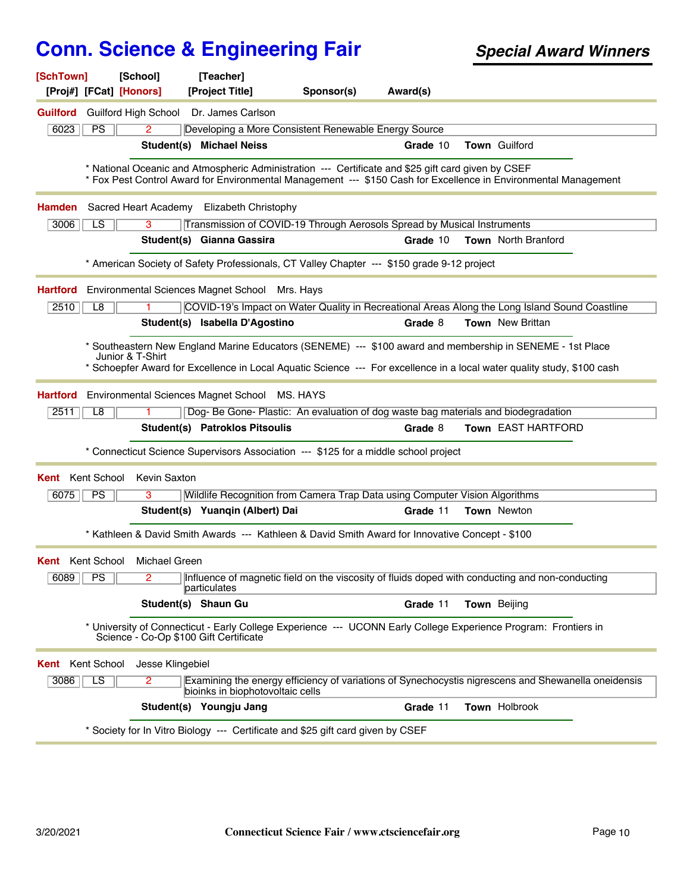| [SchTown]                                                                                                                                                                                                                                                | [School]                               | [Teacher]                                                                                          |            |          |                                                                                                                 |  |
|----------------------------------------------------------------------------------------------------------------------------------------------------------------------------------------------------------------------------------------------------------|----------------------------------------|----------------------------------------------------------------------------------------------------|------------|----------|-----------------------------------------------------------------------------------------------------------------|--|
| [Proj#] [FCat] [Honors]                                                                                                                                                                                                                                  |                                        | [Project Title]                                                                                    | Sponsor(s) | Award(s) |                                                                                                                 |  |
| Guilford                                                                                                                                                                                                                                                 |                                        | Guilford High School Dr. James Carlson                                                             |            |          |                                                                                                                 |  |
| 6023<br>PS                                                                                                                                                                                                                                               | $\overline{2}$                         | Developing a More Consistent Renewable Energy Source                                               |            |          |                                                                                                                 |  |
|                                                                                                                                                                                                                                                          |                                        | Student(s) Michael Neiss                                                                           |            | Grade 10 | Town Guilford                                                                                                   |  |
|                                                                                                                                                                                                                                                          |                                        | * National Oceanic and Atmospheric Administration --- Certificate and \$25 gift card given by CSEF |            |          | * Fox Pest Control Award for Environmental Management --- \$150 Cash for Excellence in Environmental Management |  |
| Hamden                                                                                                                                                                                                                                                   |                                        | Sacred Heart Academy Elizabeth Christophy                                                          |            |          |                                                                                                                 |  |
| LS<br>3006                                                                                                                                                                                                                                               | 3                                      | Transmission of COVID-19 Through Aerosols Spread by Musical Instruments                            |            |          |                                                                                                                 |  |
|                                                                                                                                                                                                                                                          |                                        | Student(s) Gianna Gassira                                                                          |            | Grade 10 | Town North Branford                                                                                             |  |
|                                                                                                                                                                                                                                                          |                                        | * American Society of Safety Professionals, CT Valley Chapter --- \$150 grade 9-12 project         |            |          |                                                                                                                 |  |
| <b>Hartford</b>                                                                                                                                                                                                                                          |                                        | Environmental Sciences Magnet School Mrs. Hays                                                     |            |          |                                                                                                                 |  |
| 2510<br>L8                                                                                                                                                                                                                                               |                                        |                                                                                                    |            |          | COVID-19's Impact on Water Quality in Recreational Areas Along the Long Island Sound Coastline                  |  |
|                                                                                                                                                                                                                                                          |                                        | Student(s) Isabella D'Agostino                                                                     |            | Grade 8  | <b>Town</b> New Brittan                                                                                         |  |
| * Southeastern New England Marine Educators (SENEME) --- \$100 award and membership in SENEME - 1st Place<br>Junior & T-Shirt<br>* Schoepfer Award for Excellence in Local Aquatic Science --- For excellence in a local water quality study, \$100 cash |                                        |                                                                                                    |            |          |                                                                                                                 |  |
| <b>Hartford</b>                                                                                                                                                                                                                                          |                                        | Environmental Sciences Magnet School MS. HAYS                                                      |            |          |                                                                                                                 |  |
| 2511<br>L8                                                                                                                                                                                                                                               |                                        |                                                                                                    |            |          | Dog- Be Gone- Plastic: An evaluation of dog waste bag materials and biodegradation                              |  |
|                                                                                                                                                                                                                                                          |                                        | Student(s) Patroklos Pitsoulis                                                                     |            | Grade 8  | Town EAST HARTFORD                                                                                              |  |
|                                                                                                                                                                                                                                                          |                                        | * Connecticut Science Supervisors Association --- \$125 for a middle school project                |            |          |                                                                                                                 |  |
| Kent School<br>Kent                                                                                                                                                                                                                                      | Kevin Saxton                           |                                                                                                    |            |          |                                                                                                                 |  |
| PS<br>6075                                                                                                                                                                                                                                               | 3                                      | Wildlife Recognition from Camera Trap Data using Computer Vision Algorithms                        |            |          |                                                                                                                 |  |
|                                                                                                                                                                                                                                                          |                                        | Student(s) Yuanqin (Albert) Dai                                                                    |            | Grade 11 | <b>Town</b> Newton                                                                                              |  |
|                                                                                                                                                                                                                                                          |                                        | * Kathleen & David Smith Awards --- Kathleen & David Smith Award for Innovative Concept - \$100    |            |          |                                                                                                                 |  |
| <b>Kent</b> Kent School                                                                                                                                                                                                                                  | <b>Michael Green</b>                   |                                                                                                    |            |          |                                                                                                                 |  |
|                                                                                                                                                                                                                                                          |                                        | particulates                                                                                       |            |          | 6089   PS   2   Influence of magnetic field on the viscosity of fluids doped with conducting and non-conducting |  |
|                                                                                                                                                                                                                                                          |                                        | Student(s) Shaun Gu                                                                                |            | Grade 11 | Town Beijing                                                                                                    |  |
|                                                                                                                                                                                                                                                          | Science - Co-Op \$100 Gift Certificate |                                                                                                    |            |          | * University of Connecticut - Early College Experience --- UCONN Early College Experience Program: Frontiers in |  |
| Kent School<br>Kent                                                                                                                                                                                                                                      | Jesse Klingebiel                       |                                                                                                    |            |          |                                                                                                                 |  |
| 3086<br>LS                                                                                                                                                                                                                                               | 2                                      | bioinks in biophotovoltaic cells                                                                   |            |          | Examining the energy efficiency of variations of Synechocystis nigrescens and Shewanella oneidensis             |  |
|                                                                                                                                                                                                                                                          |                                        | Student(s) Youngju Jang                                                                            |            | Grade 11 | Town Holbrook                                                                                                   |  |
|                                                                                                                                                                                                                                                          |                                        |                                                                                                    |            |          |                                                                                                                 |  |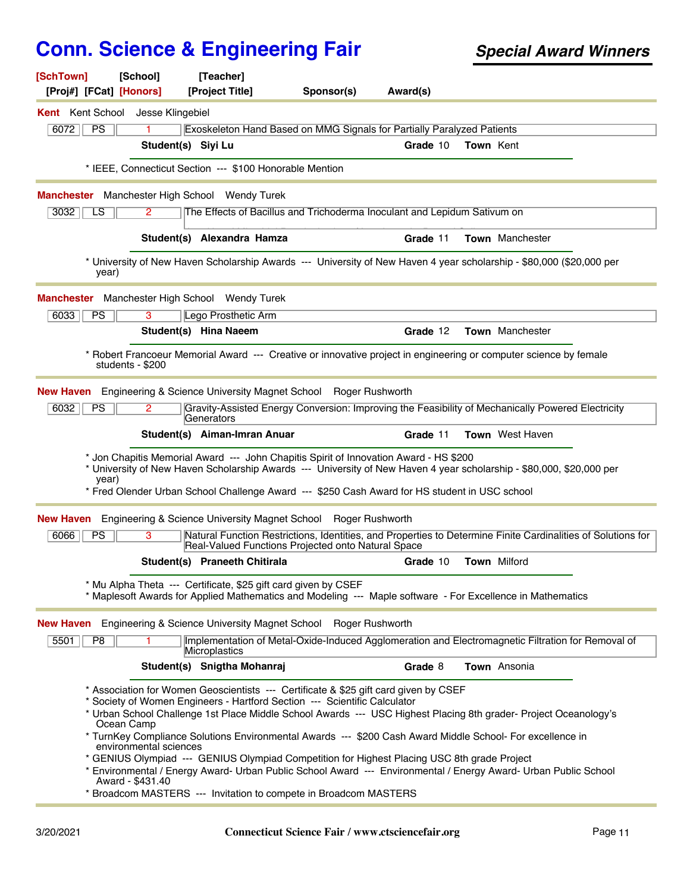| [SchTown]<br>[Proj#] [FCat] [Honors]     | [School]                                                 | [Teacher]<br>[Project Title]                                   | Sponsor(s)                                                                                                                                                                                                                                                                                                                                                                                                                                                                                                                                                                                                           | Award(s) |           |                        |  |
|------------------------------------------|----------------------------------------------------------|----------------------------------------------------------------|----------------------------------------------------------------------------------------------------------------------------------------------------------------------------------------------------------------------------------------------------------------------------------------------------------------------------------------------------------------------------------------------------------------------------------------------------------------------------------------------------------------------------------------------------------------------------------------------------------------------|----------|-----------|------------------------|--|
| <b>Kent</b> Kent School Jesse Klingebiel |                                                          |                                                                |                                                                                                                                                                                                                                                                                                                                                                                                                                                                                                                                                                                                                      |          |           |                        |  |
| PS<br>6072                               |                                                          |                                                                | Exoskeleton Hand Based on MMG Signals for Partially Paralyzed Patients                                                                                                                                                                                                                                                                                                                                                                                                                                                                                                                                               |          |           |                        |  |
|                                          |                                                          | Student(s) Siyi Lu                                             |                                                                                                                                                                                                                                                                                                                                                                                                                                                                                                                                                                                                                      | Grade 10 | Town Kent |                        |  |
|                                          |                                                          | * IEEE, Connecticut Section --- \$100 Honorable Mention        |                                                                                                                                                                                                                                                                                                                                                                                                                                                                                                                                                                                                                      |          |           |                        |  |
|                                          |                                                          | <b>Manchester</b> Manchester High School Wendy Turek           |                                                                                                                                                                                                                                                                                                                                                                                                                                                                                                                                                                                                                      |          |           |                        |  |
| 3032<br>LS                               | $\mathbf{2}^{\circ}$                                     |                                                                | The Effects of Bacillus and Trichoderma Inoculant and Lepidum Sativum on                                                                                                                                                                                                                                                                                                                                                                                                                                                                                                                                             |          |           |                        |  |
|                                          |                                                          | Student(s) Alexandra Hamza                                     |                                                                                                                                                                                                                                                                                                                                                                                                                                                                                                                                                                                                                      | Grade 11 |           | Town Manchester        |  |
| year)                                    |                                                          |                                                                | * University of New Haven Scholarship Awards --- University of New Haven 4 year scholarship - \$80,000 (\$20,000 per                                                                                                                                                                                                                                                                                                                                                                                                                                                                                                 |          |           |                        |  |
| Manchester                               |                                                          | Manchester High School Wendy Turek                             |                                                                                                                                                                                                                                                                                                                                                                                                                                                                                                                                                                                                                      |          |           |                        |  |
| 6033<br>PS                               | $\overline{3}$                                           | Lego Prosthetic Arm                                            |                                                                                                                                                                                                                                                                                                                                                                                                                                                                                                                                                                                                                      |          |           |                        |  |
|                                          |                                                          | Student(s) Hina Naeem                                          |                                                                                                                                                                                                                                                                                                                                                                                                                                                                                                                                                                                                                      | Grade 12 |           | <b>Town</b> Manchester |  |
|                                          | students - \$200                                         |                                                                | * Robert Francoeur Memorial Award --- Creative or innovative project in engineering or computer science by female                                                                                                                                                                                                                                                                                                                                                                                                                                                                                                    |          |           |                        |  |
| New Haven                                |                                                          | Engineering & Science University Magnet School                 | Roger Rushworth                                                                                                                                                                                                                                                                                                                                                                                                                                                                                                                                                                                                      |          |           |                        |  |
| 6032<br>PS                               | $\mathbf{2}^{\circ}$                                     | Generators                                                     | Gravity-Assisted Energy Conversion: Improving the Feasibility of Mechanically Powered Electricity                                                                                                                                                                                                                                                                                                                                                                                                                                                                                                                    |          |           |                        |  |
|                                          |                                                          | Student(s) Aiman-Imran Anuar                                   |                                                                                                                                                                                                                                                                                                                                                                                                                                                                                                                                                                                                                      | Grade 11 |           | <b>Town</b> West Haven |  |
| year)                                    |                                                          |                                                                | * Jon Chapitis Memorial Award --- John Chapitis Spirit of Innovation Award - HS \$200<br>* University of New Haven Scholarship Awards --- University of New Haven 4 year scholarship - \$80,000, \$20,000 per<br>* Fred Olender Urban School Challenge Award --- \$250 Cash Award for HS student in USC school                                                                                                                                                                                                                                                                                                       |          |           |                        |  |
|                                          |                                                          |                                                                |                                                                                                                                                                                                                                                                                                                                                                                                                                                                                                                                                                                                                      |          |           |                        |  |
| New Haven<br>6066<br><b>PS</b>           | 3                                                        |                                                                | Engineering & Science University Magnet School Roger Rushworth<br>Natural Function Restrictions, Identities, and Properties to Determine Finite Cardinalities of Solutions for                                                                                                                                                                                                                                                                                                                                                                                                                                       |          |           |                        |  |
|                                          |                                                          |                                                                | Real-Valued Functions Projected onto Natural Space                                                                                                                                                                                                                                                                                                                                                                                                                                                                                                                                                                   |          |           |                        |  |
|                                          |                                                          | Student(s) Praneeth Chitirala                                  |                                                                                                                                                                                                                                                                                                                                                                                                                                                                                                                                                                                                                      | Grade 10 |           | Town Milford           |  |
|                                          |                                                          | * Mu Alpha Theta --- Certificate, \$25 gift card given by CSEF | * Maplesoft Awards for Applied Mathematics and Modeling --- Maple software - For Excellence in Mathematics                                                                                                                                                                                                                                                                                                                                                                                                                                                                                                           |          |           |                        |  |
|                                          |                                                          |                                                                | <b>New Haven</b> Engineering & Science University Magnet School Roger Rushworth                                                                                                                                                                                                                                                                                                                                                                                                                                                                                                                                      |          |           |                        |  |
| 5501<br>P <sub>8</sub>                   |                                                          | Microplastics                                                  | Implementation of Metal-Oxide-Induced Agglomeration and Electromagnetic Filtration for Removal of                                                                                                                                                                                                                                                                                                                                                                                                                                                                                                                    |          |           |                        |  |
|                                          |                                                          | Student(s) Snigtha Mohanraj                                    |                                                                                                                                                                                                                                                                                                                                                                                                                                                                                                                                                                                                                      | Grade 8  |           | Town Ansonia           |  |
|                                          | Ocean Camp<br>environmental sciences<br>Award - \$431.40 |                                                                | * Association for Women Geoscientists --- Certificate & \$25 gift card given by CSEF<br>* Society of Women Engineers - Hartford Section --- Scientific Calculator<br>* Urban School Challenge 1st Place Middle School Awards --- USC Highest Placing 8th grader- Project Oceanology's<br>* TurnKey Compliance Solutions Environmental Awards --- \$200 Cash Award Middle School- For excellence in<br>* GENIUS Olympiad --- GENIUS Olympiad Competition for Highest Placing USC 8th grade Project<br>* Environmental / Energy Award- Urban Public School Award --- Environmental / Energy Award- Urban Public School |          |           |                        |  |
|                                          |                                                          |                                                                | * Broadcom MASTERS --- Invitation to compete in Broadcom MASTERS                                                                                                                                                                                                                                                                                                                                                                                                                                                                                                                                                     |          |           |                        |  |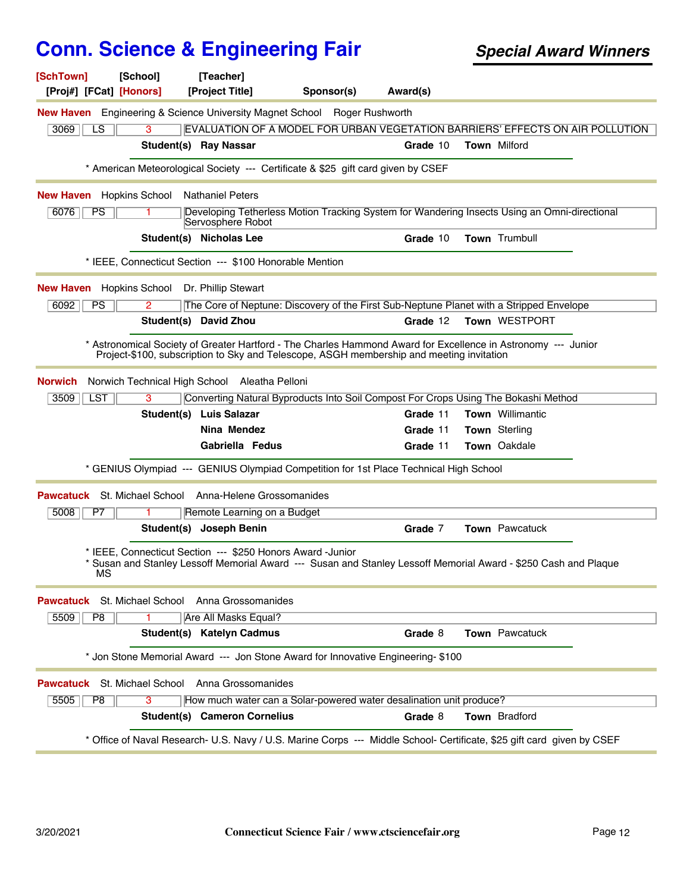| [SchTown]<br>[School]<br>[Proj#] [FCat] [Honors]                                | [Teacher]<br>[Project Title]                                                             | Sponsor(s) | Award(s) |                                                                                                                        |
|---------------------------------------------------------------------------------|------------------------------------------------------------------------------------------|------------|----------|------------------------------------------------------------------------------------------------------------------------|
| <b>New Haven</b> Engineering & Science University Magnet School Roger Rushworth |                                                                                          |            |          |                                                                                                                        |
| 3<br>3069<br>LS.                                                                |                                                                                          |            |          | EVALUATION OF A MODEL FOR URBAN VEGETATION BARRIERS' EFFECTS ON AIR POLLUTION                                          |
|                                                                                 | Student(s) Ray Nassar                                                                    |            | Grade 10 | <b>Town Milford</b>                                                                                                    |
|                                                                                 | * American Meteorological Society --- Certificate & \$25 gift card given by CSEF         |            |          |                                                                                                                        |
| <b>New Haven</b> Hopkins School                                                 | <b>Nathaniel Peters</b>                                                                  |            |          |                                                                                                                        |
| 6076<br><b>PS</b>                                                               | Servosphere Robot                                                                        |            |          | Developing Tetherless Motion Tracking System for Wandering Insects Using an Omni-directional                           |
|                                                                                 | Student(s) Nicholas Lee                                                                  |            | Grade 10 | Town Trumbull                                                                                                          |
|                                                                                 | * IEEE, Connecticut Section --- \$100 Honorable Mention                                  |            |          |                                                                                                                        |
| <b>New Haven</b> Hopkins School Dr. Phillip Stewart                             |                                                                                          |            |          |                                                                                                                        |
| 6092<br><b>PS</b><br>2                                                          | The Core of Neptune: Discovery of the First Sub-Neptune Planet with a Stripped Envelope  |            |          |                                                                                                                        |
|                                                                                 | Student(s) David Zhou                                                                    |            | Grade 12 | Town WESTPORT                                                                                                          |
|                                                                                 | Project-\$100, subscription to Sky and Telescope, ASGH membership and meeting invitation |            |          | Astronomical Society of Greater Hartford - The Charles Hammond Award for Excellence in Astronomy --- Junior            |
| <b>Norwich</b>                                                                  | Norwich Technical High School Aleatha Pelloni                                            |            |          |                                                                                                                        |
| 3509<br><b>LST</b><br>3                                                         | Converting Natural Byproducts Into Soil Compost For Crops Using The Bokashi Method       |            |          |                                                                                                                        |
|                                                                                 | Student(s) Luis Salazar                                                                  |            | Grade 11 | <b>Town</b> Willimantic                                                                                                |
|                                                                                 | Nina Mendez                                                                              |            | Grade 11 | Town Sterling                                                                                                          |
|                                                                                 | Gabriella Fedus                                                                          |            | Grade 11 | Town Oakdale                                                                                                           |
|                                                                                 | * GENIUS Olympiad --- GENIUS Olympiad Competition for 1st Place Technical High School    |            |          |                                                                                                                        |
| <b>Pawcatuck</b> St. Michael School Anna-Helene Grossomanides                   |                                                                                          |            |          |                                                                                                                        |
| 5008<br>P7                                                                      | Remote Learning on a Budget                                                              |            |          |                                                                                                                        |
|                                                                                 | Student(s) Joseph Benin                                                                  |            | Grade 7  | Town Pawcatuck                                                                                                         |
| МS                                                                              | * IEEE, Connecticut Section --- \$250 Honors Award -Junior                               |            |          | * Susan and Stanley Lessoff Memorial Award --- Susan and Stanley Lessoff Memorial Award - \$250 Cash and Plaque        |
| <b>Pawcatuck</b>                                                                | St. Michael School Anna Grossomanides                                                    |            |          |                                                                                                                        |
| 5509<br>P <sub>8</sub>                                                          | Are All Masks Equal?                                                                     |            |          |                                                                                                                        |
|                                                                                 | Student(s) Katelyn Cadmus                                                                |            | Grade 8  | Town Pawcatuck                                                                                                         |
|                                                                                 | * Jon Stone Memorial Award --- Jon Stone Award for Innovative Engineering- \$100         |            |          |                                                                                                                        |
| Pawcatuck                                                                       | St. Michael School Anna Grossomanides                                                    |            |          |                                                                                                                        |
| 5505<br>P <sub>8</sub><br>3                                                     | How much water can a Solar-powered water desalination unit produce?                      |            |          |                                                                                                                        |
|                                                                                 | <b>Student(s) Cameron Cornelius</b>                                                      |            | Grade 8  | Town Bradford                                                                                                          |
|                                                                                 |                                                                                          |            |          | * Office of Naval Research- U.S. Navy / U.S. Marine Corps --- Middle School- Certificate, \$25 gift card given by CSEF |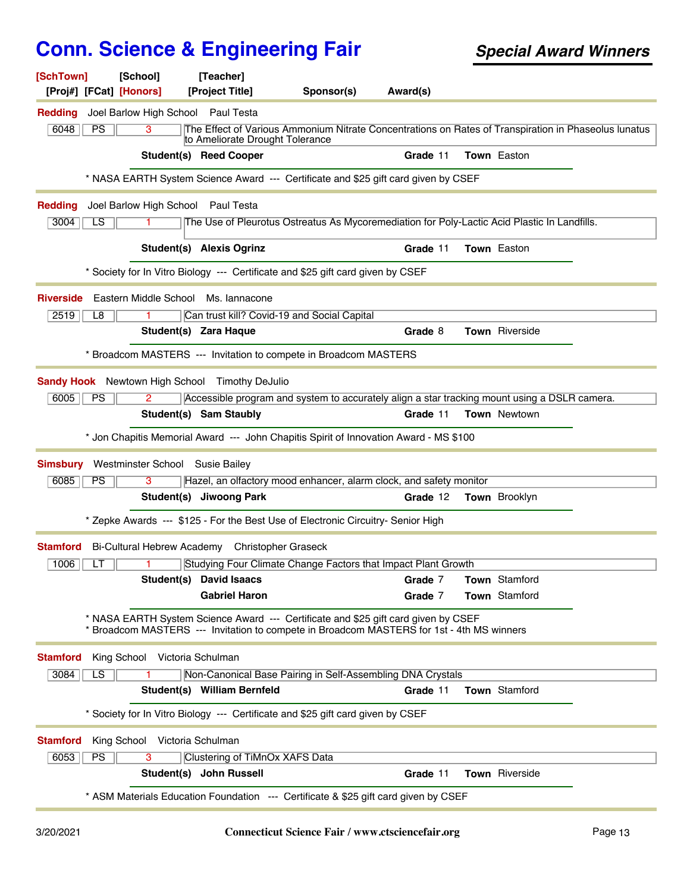| [SchTown]<br>[School]                                                               | [Teacher]                                                                                                                                                                       |          |                                                                                                      |  |  |
|-------------------------------------------------------------------------------------|---------------------------------------------------------------------------------------------------------------------------------------------------------------------------------|----------|------------------------------------------------------------------------------------------------------|--|--|
| [Proj#] [FCat] [Honors]                                                             | [Project Title]<br>Sponsor(s)                                                                                                                                                   | Award(s) |                                                                                                      |  |  |
| Joel Barlow High School Paul Testa<br><b>Redding</b>                                |                                                                                                                                                                                 |          |                                                                                                      |  |  |
| 6048<br>PS<br>3                                                                     | to Ameliorate Drought Tolerance                                                                                                                                                 |          | The Effect of Various Ammonium Nitrate Concentrations on Rates of Transpiration in Phaseolus lunatus |  |  |
| <b>Student(s) Reed Cooper</b>                                                       |                                                                                                                                                                                 | Grade 11 | <b>Town</b> Easton                                                                                   |  |  |
|                                                                                     | * NASA EARTH System Science Award --- Certificate and \$25 gift card given by CSEF                                                                                              |          |                                                                                                      |  |  |
| Joel Barlow High School Paul Testa<br><b>Redding</b>                                |                                                                                                                                                                                 |          |                                                                                                      |  |  |
| 3004<br>LS<br>$\mathbf{1}$                                                          | The Use of Pleurotus Ostreatus As Mycoremediation for Poly-Lactic Acid Plastic In Landfills.                                                                                    |          |                                                                                                      |  |  |
| Student(s) Alexis Ogrinz                                                            |                                                                                                                                                                                 | Grade 11 | Town Easton                                                                                          |  |  |
|                                                                                     | * Society for In Vitro Biology --- Certificate and \$25 gift card given by CSEF                                                                                                 |          |                                                                                                      |  |  |
| Eastern Middle School Ms. Iannacone<br><b>Riverside</b>                             |                                                                                                                                                                                 |          |                                                                                                      |  |  |
| 2519<br>L8                                                                          | Can trust kill? Covid-19 and Social Capital                                                                                                                                     |          |                                                                                                      |  |  |
| Student(s) Zara Haque                                                               |                                                                                                                                                                                 | Grade 8  | <b>Town</b> Riverside                                                                                |  |  |
|                                                                                     | * Broadcom MASTERS --- Invitation to compete in Broadcom MASTERS                                                                                                                |          |                                                                                                      |  |  |
|                                                                                     |                                                                                                                                                                                 |          |                                                                                                      |  |  |
| <b>Sandy Hook</b> Newtown High School Timothy DeJulio                               |                                                                                                                                                                                 |          |                                                                                                      |  |  |
| 6005<br>PS<br>$\overline{2}$<br>Student(s) Sam Staubly                              | Accessible program and system to accurately align a star tracking mount using a DSLR camera.                                                                                    | Grade 11 | <b>Town</b> Newtown                                                                                  |  |  |
|                                                                                     |                                                                                                                                                                                 |          |                                                                                                      |  |  |
|                                                                                     | * Jon Chapitis Memorial Award --- John Chapitis Spirit of Innovation Award - MS \$100                                                                                           |          |                                                                                                      |  |  |
| Westminster School Susie Bailey<br><b>Simsbury</b>                                  |                                                                                                                                                                                 |          |                                                                                                      |  |  |
| 6085<br><b>PS</b><br>3                                                              | Hazel, an olfactory mood enhancer, alarm clock, and safety monitor                                                                                                              |          |                                                                                                      |  |  |
| Student(s) Jiwoong Park                                                             |                                                                                                                                                                                 | Grade 12 | Town Brooklyn                                                                                        |  |  |
|                                                                                     | * Zepke Awards --- \$125 - For the Best Use of Electronic Circuitry- Senior High                                                                                                |          |                                                                                                      |  |  |
| <b>Stamford</b><br>Bi-Cultural Hebrew Academy Christopher Graseck                   |                                                                                                                                                                                 |          |                                                                                                      |  |  |
| 1006<br>LT                                                                          | Studying Four Climate Change Factors that Impact Plant Growth                                                                                                                   |          |                                                                                                      |  |  |
| Student(s)                                                                          | <b>David Isaacs</b>                                                                                                                                                             | Grade 7  | Town Stamford                                                                                        |  |  |
|                                                                                     | <b>Gabriel Haron</b>                                                                                                                                                            | Grade 7  | <b>Town</b> Stamford                                                                                 |  |  |
|                                                                                     | * NASA EARTH System Science Award --- Certificate and \$25 gift card given by CSEF<br>* Broadcom MASTERS --- Invitation to compete in Broadcom MASTERS for 1st - 4th MS winners |          |                                                                                                      |  |  |
| <b>Stamford</b><br>King School Victoria Schulman                                    |                                                                                                                                                                                 |          |                                                                                                      |  |  |
| LS<br>3084                                                                          | Non-Canonical Base Pairing in Self-Assembling DNA Crystals                                                                                                                      |          |                                                                                                      |  |  |
| Student(s) William Bernfeld                                                         |                                                                                                                                                                                 | Grade 11 | <b>Town</b> Stamford                                                                                 |  |  |
|                                                                                     | * Society for In Vitro Biology --- Certificate and \$25 gift card given by CSEF                                                                                                 |          |                                                                                                      |  |  |
| King School Victoria Schulman<br><b>Stamford</b>                                    |                                                                                                                                                                                 |          |                                                                                                      |  |  |
| 6053<br><b>PS</b><br>3                                                              | Clustering of TiMnOx XAFS Data                                                                                                                                                  |          |                                                                                                      |  |  |
| Student(s) John Russell                                                             |                                                                                                                                                                                 | Grade 11 | Town Riverside                                                                                       |  |  |
| * ASM Materials Education Foundation --- Certificate & \$25 gift card given by CSEF |                                                                                                                                                                                 |          |                                                                                                      |  |  |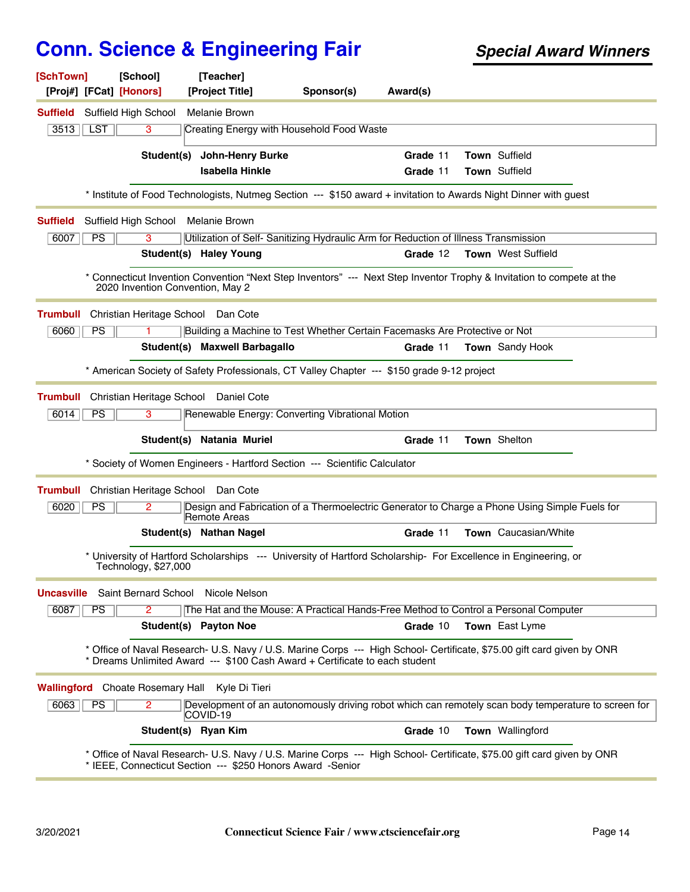| [SchTown]         |           | [School]<br>[Proj#] [FCat] [Honors] | [Teacher]<br>[Project Title]                                                                                    | Sponsor(s) | Award(s) |                                                                                                                        |
|-------------------|-----------|-------------------------------------|-----------------------------------------------------------------------------------------------------------------|------------|----------|------------------------------------------------------------------------------------------------------------------------|
| Suffield          |           | Suffield High School                | Melanie Brown                                                                                                   |            |          |                                                                                                                        |
| 3513              | LST       | 3                                   | Creating Energy with Household Food Waste                                                                       |            |          |                                                                                                                        |
|                   |           | Student(s)                          | <b>John-Henry Burke</b>                                                                                         |            | Grade 11 | Town Suffield                                                                                                          |
|                   |           |                                     | <b>Isabella Hinkle</b>                                                                                          |            | Grade 11 | Town Suffield                                                                                                          |
|                   |           |                                     |                                                                                                                 |            |          | * Institute of Food Technologists, Nutmeg Section --- \$150 award + invitation to Awards Night Dinner with guest       |
| <b>Suffield</b>   |           |                                     | Suffield High School Melanie Brown                                                                              |            |          |                                                                                                                        |
| 6007              | <b>PS</b> | 3                                   | Utilization of Self-Sanitizing Hydraulic Arm for Reduction of Illness Transmission                              |            |          |                                                                                                                        |
|                   |           |                                     | Student(s) Haley Young                                                                                          |            | Grade 12 | Town West Suffield                                                                                                     |
|                   |           |                                     | 2020 Invention Convention, May 2                                                                                |            |          | * Connecticut Invention Convention "Next Step Inventors" --- Next Step Inventor Trophy & Invitation to compete at the  |
| <b>Trumbull</b>   |           |                                     | Christian Heritage School Dan Cote                                                                              |            |          |                                                                                                                        |
| 6060              | <b>PS</b> |                                     | Building a Machine to Test Whether Certain Facemasks Are Protective or Not                                      |            |          |                                                                                                                        |
|                   |           |                                     | Student(s) Maxwell Barbagallo                                                                                   |            | Grade 11 | Town Sandy Hook                                                                                                        |
|                   |           |                                     | * American Society of Safety Professionals, CT Valley Chapter --- \$150 grade 9-12 project                      |            |          |                                                                                                                        |
| <b>Trumbull</b>   |           |                                     | Christian Heritage School Daniel Cote                                                                           |            |          |                                                                                                                        |
| 6014              | <b>PS</b> | 3                                   | Renewable Energy: Converting Vibrational Motion                                                                 |            |          |                                                                                                                        |
|                   |           |                                     | Student(s) Natania Muriel                                                                                       |            | Grade 11 | Town Shelton                                                                                                           |
|                   |           |                                     | * Society of Women Engineers - Hartford Section --- Scientific Calculator                                       |            |          |                                                                                                                        |
| <b>Trumbull</b>   |           |                                     | Christian Heritage School Dan Cote                                                                              |            |          |                                                                                                                        |
| 6020              | <b>PS</b> | 2                                   | Remote Areas                                                                                                    |            |          | Design and Fabrication of a Thermoelectric Generator to Charge a Phone Using Simple Fuels for                          |
|                   |           |                                     | Student(s) Nathan Nagel                                                                                         |            | Grade 11 | <b>Town</b> Caucasian/White                                                                                            |
|                   |           | Technology, \$27,000                | * University of Hartford Scholarships --- University of Hartford Scholarship- For Excellence in Engineering, or |            |          |                                                                                                                        |
| <b>Uncasville</b> |           | <b>Saint Bernard School</b>         | Nicole Nelson                                                                                                   |            |          |                                                                                                                        |
| 6087              | <b>PS</b> | 2                                   | The Hat and the Mouse: A Practical Hands-Free Method to Control a Personal Computer                             |            |          |                                                                                                                        |
|                   |           |                                     | Student(s) Payton Noe                                                                                           |            | Grade 10 | Town East Lyme                                                                                                         |
|                   |           |                                     | Dreams Unlimited Award --- \$100 Cash Award + Certificate to each student                                       |            |          | * Office of Naval Research- U.S. Navy / U.S. Marine Corps --- High School- Certificate, \$75.00 gift card given by ONR |
|                   |           |                                     | <b>Wallingford</b> Choate Rosemary Hall Kyle Di Tieri                                                           |            |          |                                                                                                                        |
| 6063              | PS        | $\mathbf{2}^{\circ}$                | COVID-19                                                                                                        |            |          | Development of an autonomously driving robot which can remotely scan body temperature to screen for                    |
|                   |           |                                     | Student(s) Ryan Kim                                                                                             |            | Grade 10 | Town Wallingford                                                                                                       |
|                   |           |                                     | * IEEE, Connecticut Section --- \$250 Honors Award -Senior                                                      |            |          | * Office of Naval Research- U.S. Navy / U.S. Marine Corps --- High School- Certificate, \$75.00 gift card given by ONR |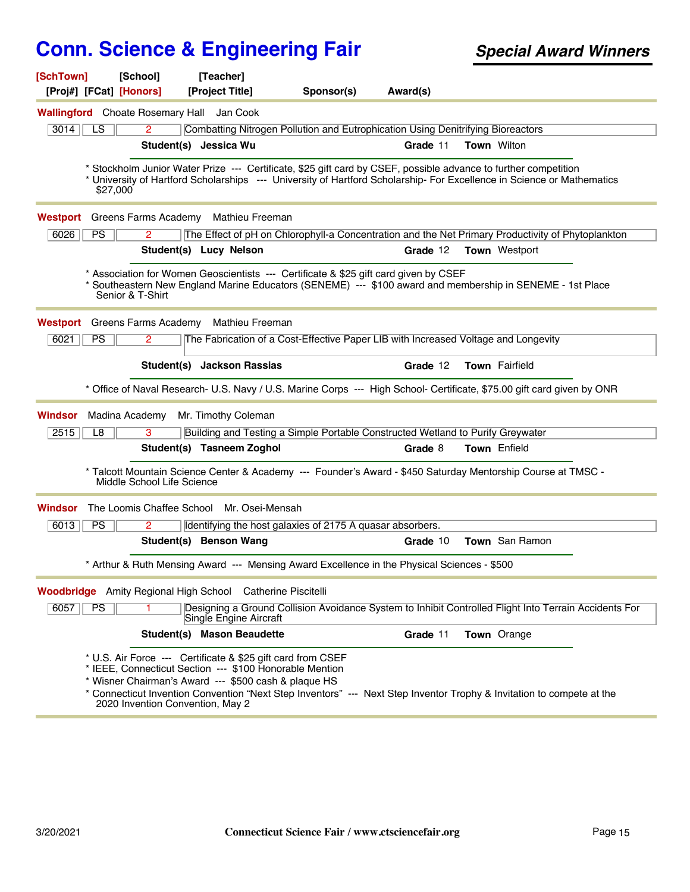| [SchTown]<br>[Proj#] [FCat] [Honors]                       | [School]                                                                                          | [Teacher]<br>[Project Title]                                                                                                                                                   | Sponsor(s)                                                                                                      | Award(s) |                      |                                                                                                                        |  |
|------------------------------------------------------------|---------------------------------------------------------------------------------------------------|--------------------------------------------------------------------------------------------------------------------------------------------------------------------------------|-----------------------------------------------------------------------------------------------------------------|----------|----------------------|------------------------------------------------------------------------------------------------------------------------|--|
| Wallingford Choate Rosemary Hall Jan Cook                  |                                                                                                   |                                                                                                                                                                                |                                                                                                                 |          |                      |                                                                                                                        |  |
| 3014<br>LS.                                                | $\overline{2}$<br>Combatting Nitrogen Pollution and Eutrophication Using Denitrifying Bioreactors |                                                                                                                                                                                |                                                                                                                 |          |                      |                                                                                                                        |  |
|                                                            |                                                                                                   | Student(s) Jessica Wu                                                                                                                                                          |                                                                                                                 | Grade 11 | <b>Town Wilton</b>   |                                                                                                                        |  |
|                                                            |                                                                                                   |                                                                                                                                                                                |                                                                                                                 |          |                      |                                                                                                                        |  |
| \$27,000                                                   |                                                                                                   |                                                                                                                                                                                | * Stockholm Junior Water Prize --- Certificate, \$25 gift card by CSEF, possible advance to further competition |          |                      | * University of Hartford Scholarships --- University of Hartford Scholarship- For Excellence in Science or Mathematics |  |
| Westport                                                   | Greens Farms Academy                                                                              | Mathieu Freeman                                                                                                                                                                |                                                                                                                 |          |                      |                                                                                                                        |  |
| PS<br>6026                                                 | 2                                                                                                 |                                                                                                                                                                                |                                                                                                                 |          |                      | The Effect of pH on Chlorophyll-a Concentration and the Net Primary Productivity of Phytoplankton                      |  |
|                                                            |                                                                                                   | Student(s) Lucy Nelson                                                                                                                                                         |                                                                                                                 | Grade 12 | <b>Town</b> Westport |                                                                                                                        |  |
|                                                            | Senior & T-Shirt                                                                                  |                                                                                                                                                                                | * Association for Women Geoscientists --- Certificate & \$25 gift card given by CSEF                            |          |                      | Southeastern New England Marine Educators (SENEME) --- \$100 award and membership in SENEME - 1st Place                |  |
| Westport                                                   | Greens Farms Academy                                                                              | Mathieu Freeman                                                                                                                                                                |                                                                                                                 |          |                      |                                                                                                                        |  |
| PS<br>6021                                                 | $\overline{2}$                                                                                    |                                                                                                                                                                                | The Fabrication of a Cost-Effective Paper LIB with Increased Voltage and Longevity                              |          |                      |                                                                                                                        |  |
|                                                            |                                                                                                   | Student(s) Jackson Rassias                                                                                                                                                     |                                                                                                                 | Grade 12 | Town Fairfield       |                                                                                                                        |  |
|                                                            |                                                                                                   |                                                                                                                                                                                |                                                                                                                 |          |                      | * Office of Naval Research- U.S. Navy / U.S. Marine Corps --- High School- Certificate, \$75.00 gift card given by ONR |  |
| Madina Academy<br>Windsor                                  |                                                                                                   | Mr. Timothy Coleman                                                                                                                                                            |                                                                                                                 |          |                      |                                                                                                                        |  |
| 2515<br>L8                                                 | 3                                                                                                 |                                                                                                                                                                                | Building and Testing a Simple Portable Constructed Wetland to Purify Greywater                                  |          |                      |                                                                                                                        |  |
|                                                            |                                                                                                   | Student(s) Tasneem Zoghol                                                                                                                                                      |                                                                                                                 | Grade 8  | Town Enfield         |                                                                                                                        |  |
|                                                            | Middle School Life Science                                                                        |                                                                                                                                                                                | * Talcott Mountain Science Center & Academy --- Founder's Award - \$450 Saturday Mentorship Course at TMSC -    |          |                      |                                                                                                                        |  |
| Windsor                                                    |                                                                                                   | The Loomis Chaffee School Mr. Osei-Mensah                                                                                                                                      |                                                                                                                 |          |                      |                                                                                                                        |  |
| 6013<br><b>PS</b>                                          | $\overline{2}$                                                                                    |                                                                                                                                                                                | Identifying the host galaxies of 2175 A quasar absorbers.                                                       |          |                      |                                                                                                                        |  |
|                                                            |                                                                                                   | Student(s) Benson Wang                                                                                                                                                         |                                                                                                                 | Grade 10 | Town San Ramon       |                                                                                                                        |  |
|                                                            |                                                                                                   |                                                                                                                                                                                | * Arthur & Ruth Mensing Award --- Mensing Award Excellence in the Physical Sciences - \$500                     |          |                      |                                                                                                                        |  |
| Woodbridge Amity Regional High School Catherine Piscitelli |                                                                                                   |                                                                                                                                                                                |                                                                                                                 |          |                      |                                                                                                                        |  |
| PS<br>6057                                                 | 1.                                                                                                | Single Engine Aircraft                                                                                                                                                         |                                                                                                                 |          |                      | Designing a Ground Collision Avoidance System to Inhibit Controlled Flight Into Terrain Accidents For                  |  |
|                                                            |                                                                                                   | <b>Student(s) Mason Beaudette</b>                                                                                                                                              |                                                                                                                 | Grade 11 | Town Orange          |                                                                                                                        |  |
|                                                            | 2020 Invention Convention, May 2                                                                  | * U.S. Air Force --- Certificate & \$25 gift card from CSEF<br>* IEEE, Connecticut Section --- \$100 Honorable Mention<br>* Wisner Chairman's Award --- \$500 cash & plaque HS |                                                                                                                 |          |                      | * Connecticut Invention Convention "Next Step Inventors" --- Next Step Inventor Trophy & Invitation to compete at the  |  |